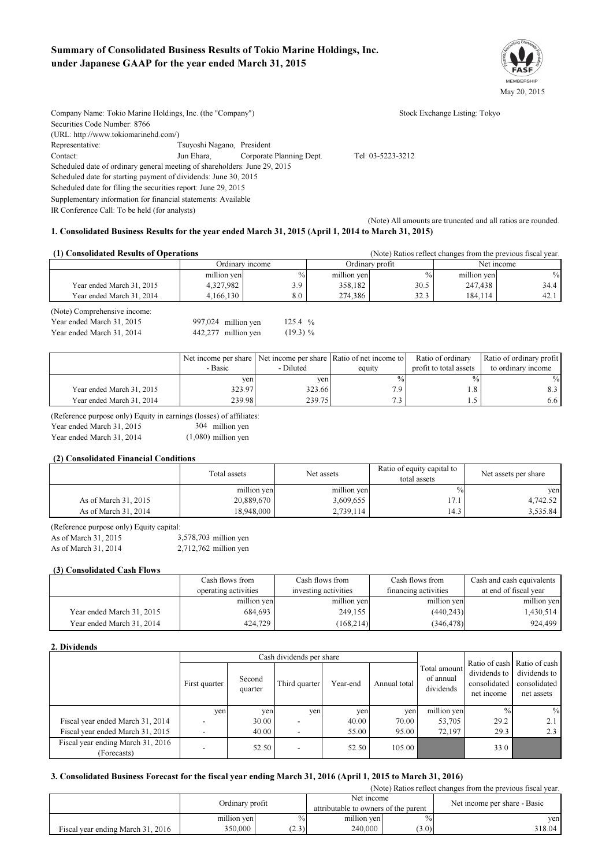# Summary of Consolidated Business Results of Tokio Marine Holdings, Inc. under Japanese GAAP for the year ended March 31, 2015



Company Name: Tokio Marine Holdings, Inc. (the "Company") Stock Exchange Listing: Tokyo Securities Code Number: 8766 (URL: http://www.tokiomarinehd.com/) Representative: Tsuyoshi Nagano, President Contact: Jun Ehara, Corporate Planning Dept. Tel: 03-5223-3212 Scheduled date of ordinary general meeting of shareholders: June 29, 2015 Scheduled date for starting payment of dividends: June 30, 2015 Scheduled date for filing the securities report: June 29, 2015 Supplementary information for financial statements: Available IR Conference Call: To be held (for analysts) (Note) All amounts are truncated and all ratios are rounded.

## 1. Consolidated Business Results for the year ended March 31, 2015 (April 1, 2014 to March 31, 2015)

442,277 million yen

| (1) Consolidated Results of Operations                    |                     | (Note) Ratios reflect changes from the previous fiscal year. |                 |               |             |      |
|-----------------------------------------------------------|---------------------|--------------------------------------------------------------|-----------------|---------------|-------------|------|
|                                                           | Ordinary income     |                                                              | Ordinary profit |               | Net income  |      |
|                                                           | million yen         | $\frac{0}{0}$                                                | million yen     | $\frac{0}{0}$ | million yen | $\%$ |
| Year ended March 31, 2015                                 | 4,327,982           | 3.9                                                          | 358,182         | 30.5          | 247.438     | 34.4 |
| Year ended March 31, 2014                                 | 4,166,130           | 8.0                                                          | 274,386         | 32.3          | 184.114     | 42.1 |
| (Note) Comprehensive income:<br>Year ended March 31, 2015 | 997,024 million yen | 125.4 $%$                                                    |                 |               |             |      |

|                           |         |           | Net income per share Net income per share Ratio of net income to | Ratio of ordinary      | Ratio of ordinary profit |
|---------------------------|---------|-----------|------------------------------------------------------------------|------------------------|--------------------------|
|                           | - Basic | - Diluted | equity                                                           | profit to total assets | to ordinary income       |
|                           | ven     | ven       | $\frac{0}{0}$                                                    | $\frac{0}{0}$          | $\frac{0}{0}$            |
| Year ended March 31, 2015 | 323.97  | 323.66    | 7.9                                                              | .8                     | 8.3                      |
| Year ended March 31, 2014 | 239.98  | 239.75    | 72                                                               | L5                     | 6.6                      |

 $(19.3) %$ 

(Reference purpose only) Equity in earnings (losses) of affiliates:

Year ended March 31, 2015 304 million yen

 $(1,080)$  million yen

## (2) Consolidated Financial Conditions

Year ended March 31, 2014

Year ended March 31, 2014

|                      | Total assets | Net assets  | Ratio of equity capital to<br>total assets | Net assets per share |  |
|----------------------|--------------|-------------|--------------------------------------------|----------------------|--|
|                      | million yen  | million yen | $\frac{0}{0}$                              | ven                  |  |
| As of March 31, 2015 | 20,889,670   | 3,609,655   | 17.1                                       | 4.742.52             |  |
| As of March 31, 2014 | 18,948,000   | 2,739,114   | 14.3                                       | 3,535.84             |  |

(Reference purpose only) Equity capital:

As of March 31, 2015 3,578,703 million yen As of March 31, 2014 2,712,762 million yen

## (3) Consolidated Cash Flows

|                           | Cash flows from      | Cash flows from      | Cash flows from      | Cash and cash equivalents |
|---------------------------|----------------------|----------------------|----------------------|---------------------------|
|                           | operating activities | investing activities | financing activities | at end of fiscal year     |
|                           | million yen          | million yen          | million yen          | million yen               |
| Year ended March 31, 2015 | 684.693              | 249,155              | (440, 243)           | 1,430,514                 |
| Year ended March 31, 2014 | 424.729              | (168, 214)           | (346, 478)           | 924.499                   |

### 2. Dividends

|                                                  |               |                   | Cash dividends per share |          |              |                                        | Ratio of cash<br>dividends to<br>consolidated<br>net income | Ratio of cash<br>dividends to<br>consolidated<br>net assets |
|--------------------------------------------------|---------------|-------------------|--------------------------|----------|--------------|----------------------------------------|-------------------------------------------------------------|-------------------------------------------------------------|
|                                                  | First quarter | Second<br>quarter | Third quarter            | Year-end | Annual total | Total amount<br>of annual<br>dividends |                                                             |                                                             |
|                                                  | yen           | yen               | yen                      | yen      | yen          | million yen                            | $\frac{0}{0}$                                               | $\frac{0}{0}$                                               |
| Fiscal year ended March 31, 2014                 |               | 30.00             | $\overline{\phantom{a}}$ | 40.00    | 70.00        | 53,705                                 | 29.2                                                        | 2.1                                                         |
| Fiscal year ended March 31, 2015                 |               | 40.00             | $\overline{\phantom{0}}$ | 55.00    | 95.00        | 72.197                                 | 29.3                                                        | 2.3                                                         |
| Fiscal year ending March 31, 2016<br>(Forecasts) |               | 52.50             | $\overline{\phantom{0}}$ | 52.50    | 105.00       |                                        | 33.0                                                        |                                                             |

## 3. Consolidated Business Forecast for the fiscal year ending March 31, 2016 (April 1, 2015 to March 31, 2016)

(Note) Ratios reflect changes from the previous fiscal year.  $\frac{0}{0}$ (3.0) million yen Ordinary profit Fiscal year ending March 31, 2016 350,000 Net income Attributable to owners of the parent Net income per share - Basic yen  $(2.3)$   $240,000$   $(3.0)$   $318.04$ % million yen 240,000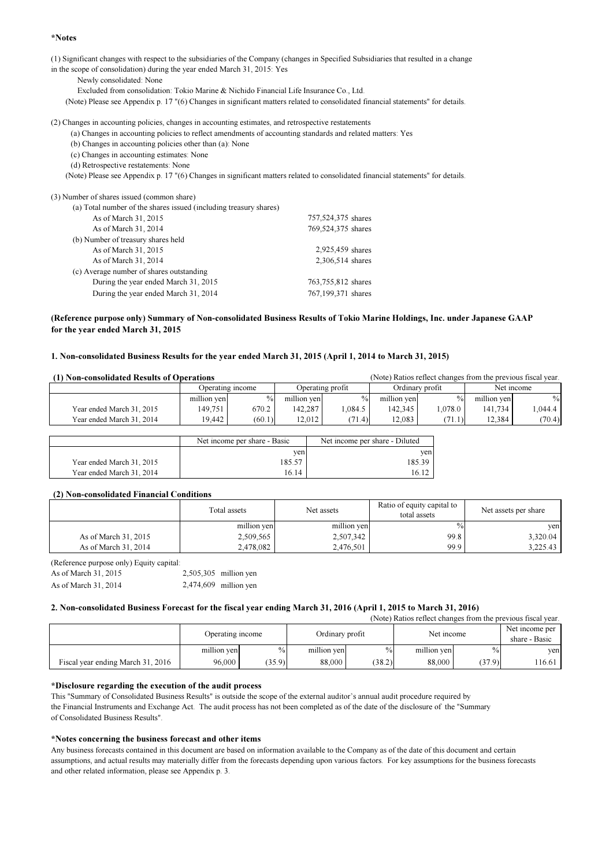## \*Notes

(1) Significant changes with respect to the subsidiaries of the Company (changes in Specified Subsidiaries that resulted in a change

in the scope of consolidation) during the year ended March 31, 2015: Yes

Newly consolidated: None

Excluded from consolidation: Tokio Marine & Nichido Financial Life Insurance Co., Ltd.

(Note) Please see Appendix p. 17 "(6) Changes in significant matters related to consolidated financial statements" for details.

(2) Changes in accounting policies, changes in accounting estimates, and retrospective restatements

(a) Changes in accounting policies to reflect amendments of accounting standards and related matters: Yes

(b) Changes in accounting policies other than (a): None

(c) Changes in accounting estimates: None

(d) Retrospective restatements: None

(Note) Please see Appendix p. 17 "(6) Changes in significant matters related to consolidated financial statements" for details.

| (3) Number of shares issued (common share)                        |                    |
|-------------------------------------------------------------------|--------------------|
| (a) Total number of the shares issued (including treasury shares) |                    |
| As of March 31, 2015                                              | 757,524,375 shares |
| As of March 31, 2014                                              | 769,524,375 shares |
| (b) Number of treasury shares held                                |                    |
| As of March 31, 2015                                              | 2,925,459 shares   |
| As of March 31, 2014                                              | 2,306,514 shares   |
| (c) Average number of shares outstanding                          |                    |
| During the year ended March 31, 2015                              | 763,755,812 shares |
| During the year ended March 31, 2014                              | 767,199,371 shares |
|                                                                   |                    |

## (Reference purpose only) Summary of Non-consolidated Business Results of Tokio Marine Holdings, Inc. under Japanese GAAP for the year ended March 31, 2015

## 1. Non-consolidated Business Results for the year ended March 31, 2015 (April 1, 2014 to March 31, 2015)

| (1) Non-consolidated Results of Operations |                  |               |                  |               | (Note) Ratios reflect changes from the previous fiscal year. |               |             |         |
|--------------------------------------------|------------------|---------------|------------------|---------------|--------------------------------------------------------------|---------------|-------------|---------|
|                                            | Operating income |               | Operating profit |               | Ordinary profit                                              |               | Net income  |         |
|                                            | million yen      | $\frac{0}{0}$ | million yen      | $\frac{0}{0}$ | million yen                                                  | $\frac{0}{0}$ | million yen | $\%$    |
| Year ended March 31, 2015                  | 149.751          | 670.2         | 142.287          | 1.084.5       | 142.345                                                      | 1.078.0       | 141.734     | 1.044.4 |
| Year ended March 31, 2014                  | 19.442           | (60.1)        | 12.012           | (71.4)        | 12.083                                                       | (71.1)        | 12.384      | (70.4)  |

|                           | Net income per share - Basic | Net income per share - Diluted |
|---------------------------|------------------------------|--------------------------------|
|                           | ven                          | ven                            |
| Year ended March 31, 2015 | 85.57                        | 85.39ء                         |
| Year ended March 31, 2014 | 16.14                        | 16.12                          |

## (2) Non-consolidated Financial Conditions

|                      | Total assets | Net assets  | Ratio of equity capital to<br>total assets | Net assets per share |
|----------------------|--------------|-------------|--------------------------------------------|----------------------|
|                      | million yen  | million yen | $\%$                                       | ven                  |
| As of March 31, 2015 | 2,509,565    | 2,507,342   | 99.8                                       | 3,320.04             |
| As of March 31, 2014 | 2.478.082    | 2,476,501   | 99.9                                       | 3,225.43             |

(Reference purpose only) Equity capital: As of March 31, 2015 2,505,305 million yen As of March 31, 2014 2,474,609 million yen

## 2. Non-consolidated Business Forecast for the fiscal year ending March 31, 2016 (April 1, 2015 to March 31, 2016)

| $11000$ , rulled follow changed from the previous fideal vear. |                  |               |                 |               |             |        |                                 |  |
|----------------------------------------------------------------|------------------|---------------|-----------------|---------------|-------------|--------|---------------------------------|--|
|                                                                | Operating income |               | Ordinary profit |               | Net income  |        | Net income per<br>share - Basic |  |
|                                                                | million yen      | $\frac{0}{0}$ | million yen     | $\frac{0}{0}$ | million yen | $\%$   | ven                             |  |
| Fiscal year ending March 31, 2016                              | 96,000           | (35.9)        | 88,000          | (38.2)        | 88,000      | (37.9) | 116.61                          |  |

(Note) Ratios reflect changes from the previous fiscal year.

## \*Disclosure regarding the execution of the audit process

This "Summary of Consolidated Business Results" is outside the scope of the external auditor's annual audit procedure required by the Financial Instruments and Exchange Act. The audit process has not been completed as of the date of the disclosure of the "Summary of Consolidated Business Results".

## \*Notes concerning the business forecast and other items

Any business forecasts contained in this document are based on information available to the Company as of the date of this document and certain assumptions, and actual results may materially differ from the forecasts depending upon various factors. For key assumptions for the business forecasts and other related information, please see Appendix p. 3.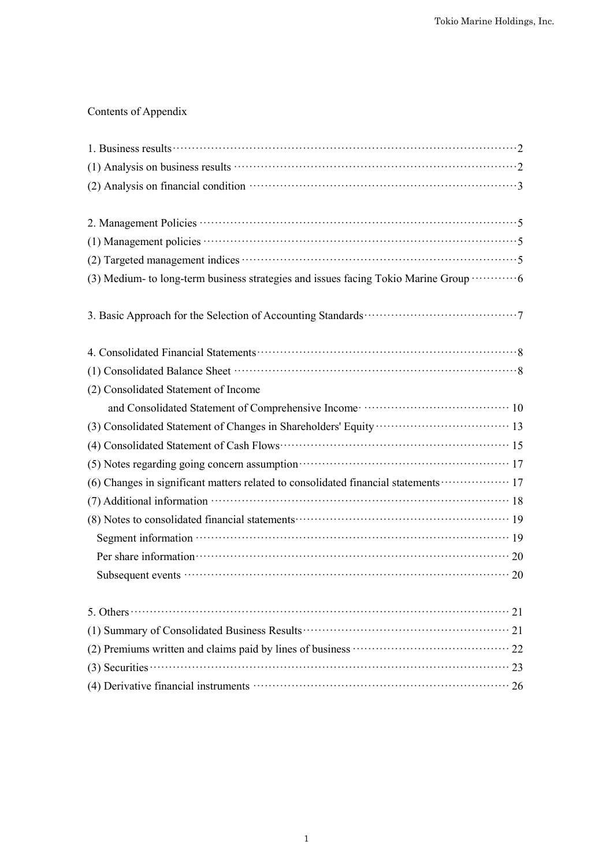# Contents of Appendix

| (3) Medium- to long-term business strategies and issues facing Tokio Marine Group ··········· 6         |
|---------------------------------------------------------------------------------------------------------|
|                                                                                                         |
|                                                                                                         |
|                                                                                                         |
| (2) Consolidated Statement of Income                                                                    |
| and Consolidated Statement of Comprehensive Income material control of $10$                             |
|                                                                                                         |
|                                                                                                         |
| (5) Notes regarding going concern assumption material contracts and the 17                              |
| (6) Changes in significant matters related to consolidated financial statements ·················· 17   |
|                                                                                                         |
| (8) Notes to consolidated financial statements (200) (8) Notes to consolidated financial statements (3) |
|                                                                                                         |
| Per share information 20                                                                                |
|                                                                                                         |
| 5. Others $\cdots$ 21                                                                                   |
|                                                                                                         |
|                                                                                                         |
| $(3)$ Securities $\cdots$ 23                                                                            |
| (4) Derivative financial instruments <b>contract to the COV</b> 26                                      |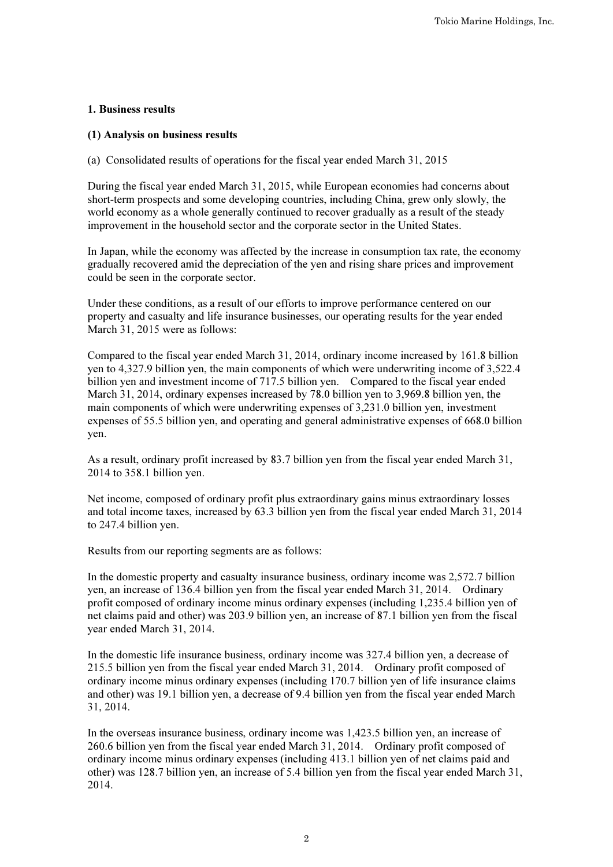# 1. Business results

# (1) Analysis on business results

(a) Consolidated results of operations for the fiscal year ended March 31, 2015

During the fiscal year ended March 31, 2015, while European economies had concerns about short-term prospects and some developing countries, including China, grew only slowly, the world economy as a whole generally continued to recover gradually as a result of the steady improvement in the household sector and the corporate sector in the United States.

In Japan, while the economy was affected by the increase in consumption tax rate, the economy gradually recovered amid the depreciation of the yen and rising share prices and improvement could be seen in the corporate sector.

Under these conditions, as a result of our efforts to improve performance centered on our property and casualty and life insurance businesses, our operating results for the year ended March 31, 2015 were as follows:

Compared to the fiscal year ended March 31, 2014, ordinary income increased by 161.8 billion yen to 4,327.9 billion yen, the main components of which were underwriting income of 3,522.4 billion yen and investment income of 717.5 billion yen. Compared to the fiscal year ended March 31, 2014, ordinary expenses increased by 78.0 billion yen to 3,969.8 billion yen, the main components of which were underwriting expenses of 3,231.0 billion yen, investment expenses of 55.5 billion yen, and operating and general administrative expenses of 668.0 billion yen.

As a result, ordinary profit increased by 83.7 billion yen from the fiscal year ended March 31, 2014 to 358.1 billion yen.

Net income, composed of ordinary profit plus extraordinary gains minus extraordinary losses and total income taxes, increased by 63.3 billion yen from the fiscal year ended March 31, 2014 to 247.4 billion yen.

Results from our reporting segments are as follows:

In the domestic property and casualty insurance business, ordinary income was 2,572.7 billion yen, an increase of 136.4 billion yen from the fiscal year ended March 31, 2014. Ordinary profit composed of ordinary income minus ordinary expenses (including 1,235.4 billion yen of net claims paid and other) was 203.9 billion yen, an increase of 87.1 billion yen from the fiscal year ended March 31, 2014.

In the domestic life insurance business, ordinary income was 327.4 billion yen, a decrease of 215.5 billion yen from the fiscal year ended March 31, 2014. Ordinary profit composed of ordinary income minus ordinary expenses (including 170.7 billion yen of life insurance claims and other) was 19.1 billion yen, a decrease of 9.4 billion yen from the fiscal year ended March 31, 2014.

In the overseas insurance business, ordinary income was 1,423.5 billion yen, an increase of 260.6 billion yen from the fiscal year ended March 31, 2014. Ordinary profit composed of ordinary income minus ordinary expenses (including 413.1 billion yen of net claims paid and other) was 128.7 billion yen, an increase of 5.4 billion yen from the fiscal year ended March 31, 2014.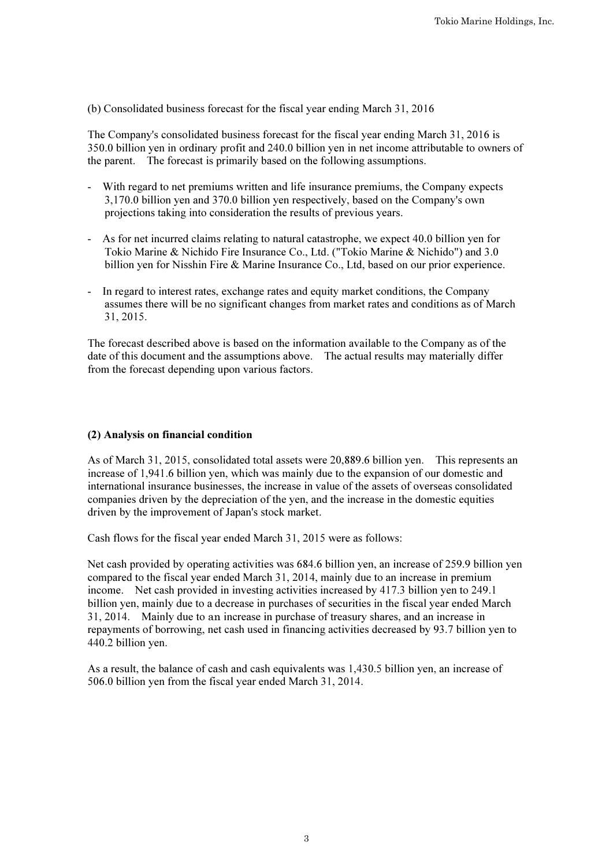(b) Consolidated business forecast for the fiscal year ending March 31, 2016

The Company's consolidated business forecast for the fiscal year ending March 31, 2016 is 350.0 billion yen in ordinary profit and 240.0 billion yen in net income attributable to owners of the parent. The forecast is primarily based on the following assumptions.

- With regard to net premiums written and life insurance premiums, the Company expects 3,170.0 billion yen and 370.0 billion yen respectively, based on the Company's own projections taking into consideration the results of previous years.
- As for net incurred claims relating to natural catastrophe, we expect 40.0 billion yen for Tokio Marine & Nichido Fire Insurance Co., Ltd. ("Tokio Marine & Nichido") and 3.0 billion yen for Nisshin Fire & Marine Insurance Co., Ltd, based on our prior experience.
- In regard to interest rates, exchange rates and equity market conditions, the Company assumes there will be no significant changes from market rates and conditions as of March 31, 2015.

The forecast described above is based on the information available to the Company as of the date of this document and the assumptions above. The actual results may materially differ from the forecast depending upon various factors.

# (2) Analysis on financial condition

As of March 31, 2015, consolidated total assets were 20,889.6 billion yen. This represents an increase of 1,941.6 billion yen, which was mainly due to the expansion of our domestic and international insurance businesses, the increase in value of the assets of overseas consolidated companies driven by the depreciation of the yen, and the increase in the domestic equities driven by the improvement of Japan's stock market.

Cash flows for the fiscal year ended March 31, 2015 were as follows:

Net cash provided by operating activities was 684.6 billion yen, an increase of 259.9 billion yen compared to the fiscal year ended March 31, 2014, mainly due to an increase in premium income. Net cash provided in investing activities increased by 417.3 billion yen to 249.1 billion yen, mainly due to a decrease in purchases of securities in the fiscal year ended March 31, 2014. Mainly due to an increase in purchase of treasury shares, and an increase in repayments of borrowing, net cash used in financing activities decreased by 93.7 billion yen to 440.2 billion yen.

As a result, the balance of cash and cash equivalents was 1,430.5 billion yen, an increase of 506.0 billion yen from the fiscal year ended March 31, 2014.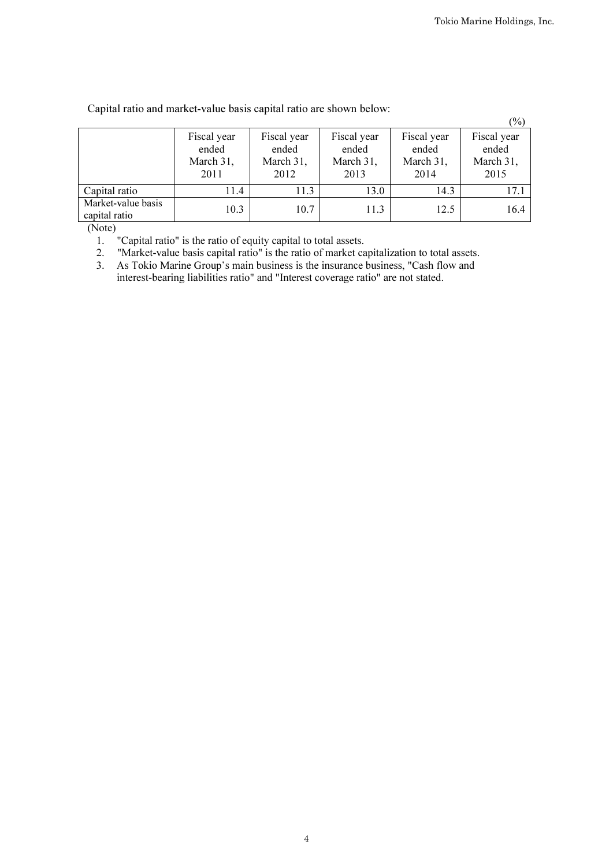|                                     |                                           |                                           |                                           |                                           | $(\%)$                                    |
|-------------------------------------|-------------------------------------------|-------------------------------------------|-------------------------------------------|-------------------------------------------|-------------------------------------------|
|                                     | Fiscal year<br>ended<br>March 31,<br>2011 | Fiscal year<br>ended<br>March 31,<br>2012 | Fiscal year<br>ended<br>March 31,<br>2013 | Fiscal year<br>ended<br>March 31,<br>2014 | Fiscal year<br>ended<br>March 31,<br>2015 |
| Capital ratio                       | 11.4                                      | 11.3                                      | 13.0                                      | 14.3                                      | 17.1                                      |
| Market-value basis<br>capital ratio | 10.3                                      | 10.7                                      | 11.3                                      | 12.5                                      | 16.4                                      |

# Capital ratio and market-value basis capital ratio are shown below:

(Note)

1. "Capital ratio" is the ratio of equity capital to total assets.

2. "Market-value basis capital ratio" is the ratio of market capitalization to total assets.

3. As Tokio Marine Group's main business is the insurance business, "Cash flow and interest-bearing liabilities ratio" and "Interest coverage ratio" are not stated.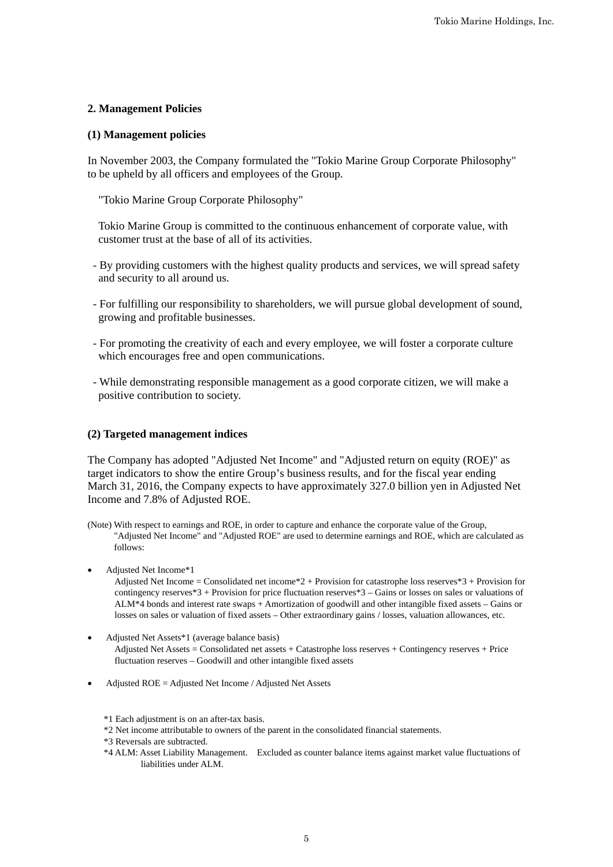# **2. Management Policies**

# **(1) Management policies**

In November 2003, the Company formulated the "Tokio Marine Group Corporate Philosophy" to be upheld by all officers and employees of the Group.

"Tokio Marine Group Corporate Philosophy"

Tokio Marine Group is committed to the continuous enhancement of corporate value, with customer trust at the base of all of its activities.

- By providing customers with the highest quality products and services, we will spread safety and security to all around us.
- For fulfilling our responsibility to shareholders, we will pursue global development of sound, growing and profitable businesses.
- For promoting the creativity of each and every employee, we will foster a corporate culture which encourages free and open communications.
- While demonstrating responsible management as a good corporate citizen, we will make a positive contribution to society.

# **(2) Targeted management indices**

The Company has adopted "Adjusted Net Income" and "Adjusted return on equity (ROE)" as target indicators to show the entire Group's business results, and for the fiscal year ending March 31, 2016, the Company expects to have approximately 327.0 billion yen in Adjusted Net Income and 7.8% of Adjusted ROE.

(Note) With respect to earnings and ROE, in order to capture and enhance the corporate value of the Group, "Adjusted Net Income" and "Adjusted ROE" are used to determine earnings and ROE, which are calculated as follows:

Adjusted Net Income\*1

Adjusted Net Income = Consolidated net income\*2 + Provision for catastrophe loss reserves\*3 + Provision for contingency reserves\*3 + Provision for price fluctuation reserves\*3 – Gains or losses on sales or valuations of ALM\*4 bonds and interest rate swaps + Amortization of goodwill and other intangible fixed assets – Gains or losses on sales or valuation of fixed assets – Other extraordinary gains / losses, valuation allowances, etc.

- Adjusted Net Assets\*1 (average balance basis) Adjusted Net Assets = Consolidated net assets + Catastrophe loss reserves + Contingency reserves + Price fluctuation reserves – Goodwill and other intangible fixed assets
- Adjusted ROE = Adjusted Net Income / Adjusted Net Assets

\*1 Each adjustment is on an after-tax basis.

- \*2 Net income attributable to owners of the parent in the consolidated financial statements.
- \*3 Reversals are subtracted.
- \*4 ALM: Asset Liability Management. Excluded as counter balance items against market value fluctuations of liabilities under ALM.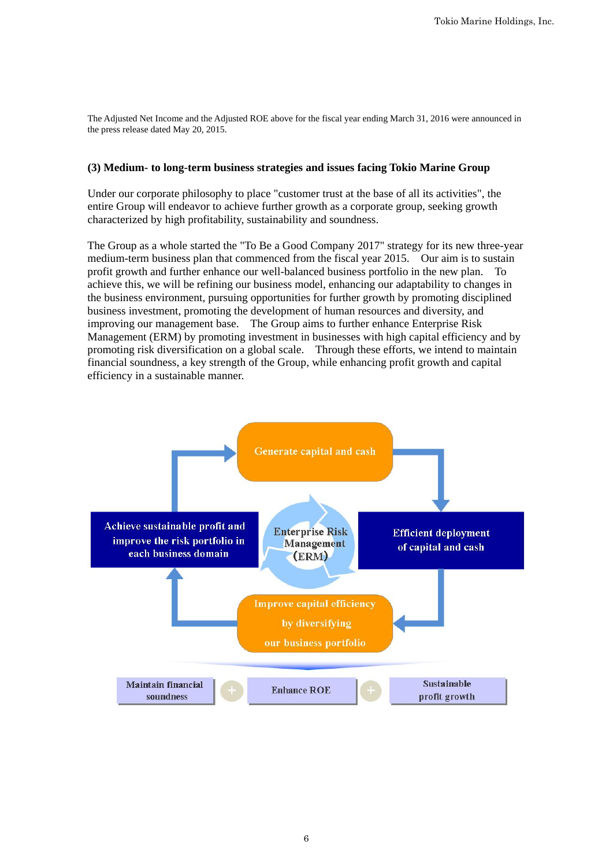The Adjusted Net Income and the Adjusted ROE above for the fiscal year ending March 31, 2016 were announced in the press release dated May 20, 2015.

# **(3) Medium- to long-term business strategies and issues facing Tokio Marine Group**

Under our corporate philosophy to place "customer trust at the base of all its activities", the entire Group will endeavor to achieve further growth as a corporate group, seeking growth characterized by high profitability, sustainability and soundness.

The Group as a whole started the "To Be a Good Company 2017" strategy for its new three-year medium-term business plan that commenced from the fiscal year 2015. Our aim is to sustain profit growth and further enhance our well-balanced business portfolio in the new plan. To achieve this, we will be refining our business model, enhancing our adaptability to changes in the business environment, pursuing opportunities for further growth by promoting disciplined business investment, promoting the development of human resources and diversity, and improving our management base. The Group aims to further enhance Enterprise Risk Management (ERM) by promoting investment in businesses with high capital efficiency and by promoting risk diversification on a global scale. Through these efforts, we intend to maintain financial soundness, a key strength of the Group, while enhancing profit growth and capital efficiency in a sustainable manner.

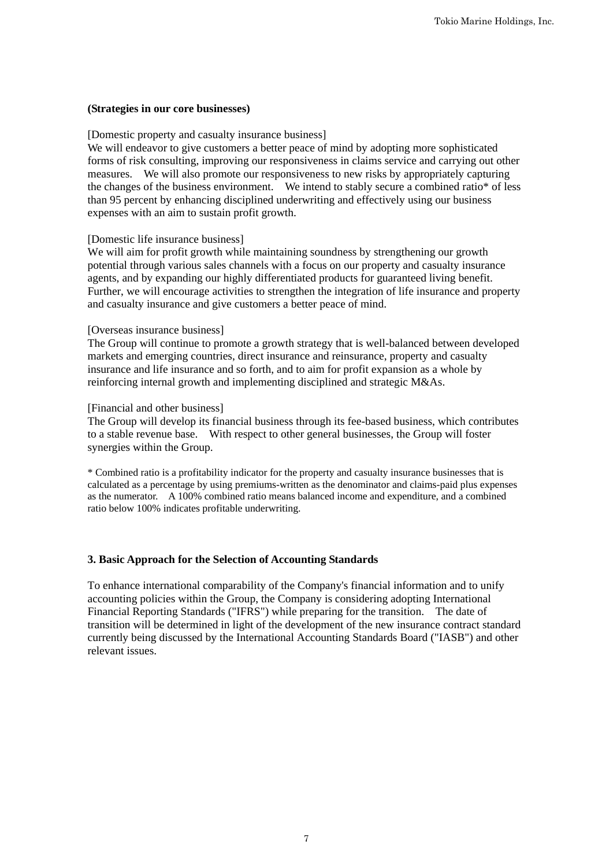# **(Strategies in our core businesses)**

## [Domestic property and casualty insurance business]

We will endeavor to give customers a better peace of mind by adopting more sophisticated forms of risk consulting, improving our responsiveness in claims service and carrying out other measures. We will also promote our responsiveness to new risks by appropriately capturing the changes of the business environment. We intend to stably secure a combined ratio\* of less than 95 percent by enhancing disciplined underwriting and effectively using our business expenses with an aim to sustain profit growth.

# [Domestic life insurance business]

We will aim for profit growth while maintaining soundness by strengthening our growth potential through various sales channels with a focus on our property and casualty insurance agents, and by expanding our highly differentiated products for guaranteed living benefit. Further, we will encourage activities to strengthen the integration of life insurance and property and casualty insurance and give customers a better peace of mind.

## [Overseas insurance business]

The Group will continue to promote a growth strategy that is well-balanced between developed markets and emerging countries, direct insurance and reinsurance, property and casualty insurance and life insurance and so forth, and to aim for profit expansion as a whole by reinforcing internal growth and implementing disciplined and strategic M&As.

## [Financial and other business]

The Group will develop its financial business through its fee-based business, which contributes to a stable revenue base. With respect to other general businesses, the Group will foster synergies within the Group.

\* Combined ratio is a profitability indicator for the property and casualty insurance businesses that is calculated as a percentage by using premiums-written as the denominator and claims-paid plus expenses as the numerator. A 100% combined ratio means balanced income and expenditure, and a combined ratio below 100% indicates profitable underwriting.

## **3. Basic Approach for the Selection of Accounting Standards**

To enhance international comparability of the Company's financial information and to unify accounting policies within the Group, the Company is considering adopting International Financial Reporting Standards ("IFRS") while preparing for the transition. The date of transition will be determined in light of the development of the new insurance contract standard currently being discussed by the International Accounting Standards Board ("IASB") and other relevant issues.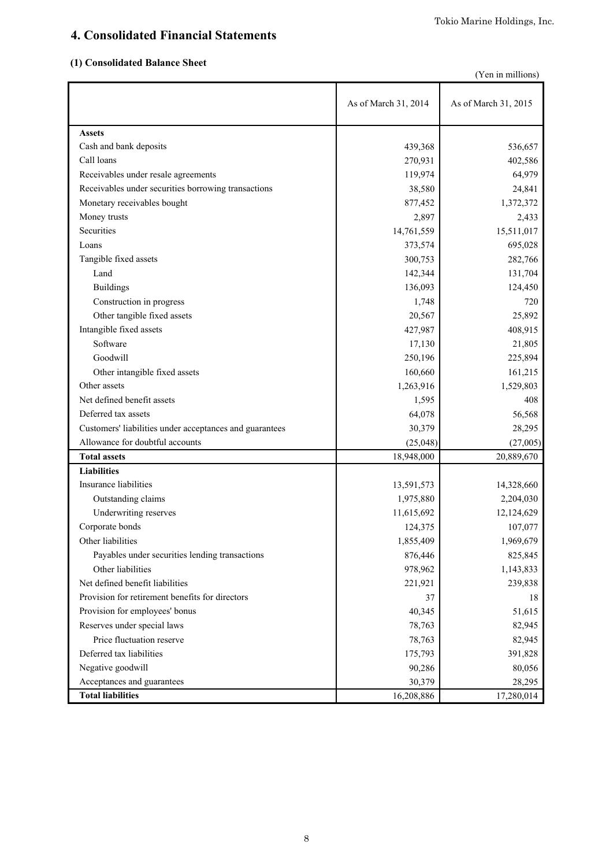# **4. Consolidated Financial Statements**

# **(1) Consolidated Balance Sheet**

|  | (Yen in millions) |
|--|-------------------|
|  |                   |

|                                                         | As of March 31, 2014 | As of March 31, 2015 |
|---------------------------------------------------------|----------------------|----------------------|
| <b>Assets</b>                                           |                      |                      |
| Cash and bank deposits                                  | 439,368              | 536,657              |
| Call loans                                              | 270,931              | 402,586              |
| Receivables under resale agreements                     | 119,974              | 64,979               |
| Receivables under securities borrowing transactions     | 38,580               | 24,841               |
| Monetary receivables bought                             | 877,452              | 1,372,372            |
| Money trusts                                            | 2,897                | 2,433                |
| Securities                                              | 14,761,559           | 15,511,017           |
| Loans                                                   | 373,574              | 695,028              |
| Tangible fixed assets                                   | 300,753              | 282,766              |
| Land                                                    | 142,344              | 131,704              |
| <b>Buildings</b>                                        | 136,093              | 124,450              |
| Construction in progress                                | 1,748                | 720                  |
| Other tangible fixed assets                             | 20,567               | 25,892               |
| Intangible fixed assets                                 | 427,987              | 408,915              |
| Software                                                | 17,130               | 21,805               |
| Goodwill                                                | 250,196              | 225,894              |
| Other intangible fixed assets                           | 160,660              | 161,215              |
| Other assets                                            | 1,263,916            | 1,529,803            |
| Net defined benefit assets                              | 1,595                | 408                  |
| Deferred tax assets                                     | 64,078               | 56,568               |
| Customers' liabilities under acceptances and guarantees | 30,379               | 28,295               |
| Allowance for doubtful accounts                         | (25, 048)            | (27,005)             |
| <b>Total assets</b>                                     | 18,948,000           | 20,889,670           |
| <b>Liabilities</b>                                      |                      |                      |
| Insurance liabilities                                   | 13,591,573           | 14,328,660           |
| Outstanding claims                                      | 1,975,880            | 2,204,030            |
| Underwriting reserves                                   | 11,615,692           | 12,124,629           |
| Corporate bonds                                         | 124,375              | 107,077              |
| Other liabilities                                       | 1,855,409            | 1,969,679            |
| Payables under securities lending transactions          | 876,446              | 825,845              |
| Other liabilities                                       | 978,962              | 1,143,833            |
| Net defined benefit liabilities                         | 221,921              | 239,838              |
| Provision for retirement benefits for directors         | 37                   | 18                   |
| Provision for employees' bonus                          | 40,345               | 51,615               |
| Reserves under special laws                             | 78,763               | 82,945               |
| Price fluctuation reserve                               | 78,763               | 82,945               |
| Deferred tax liabilities                                | 175,793              | 391,828              |
| Negative goodwill                                       | 90,286               | 80,056               |
| Acceptances and guarantees                              | 30,379               | 28,295               |
| <b>Total liabilities</b>                                | 16,208,886           | 17,280,014           |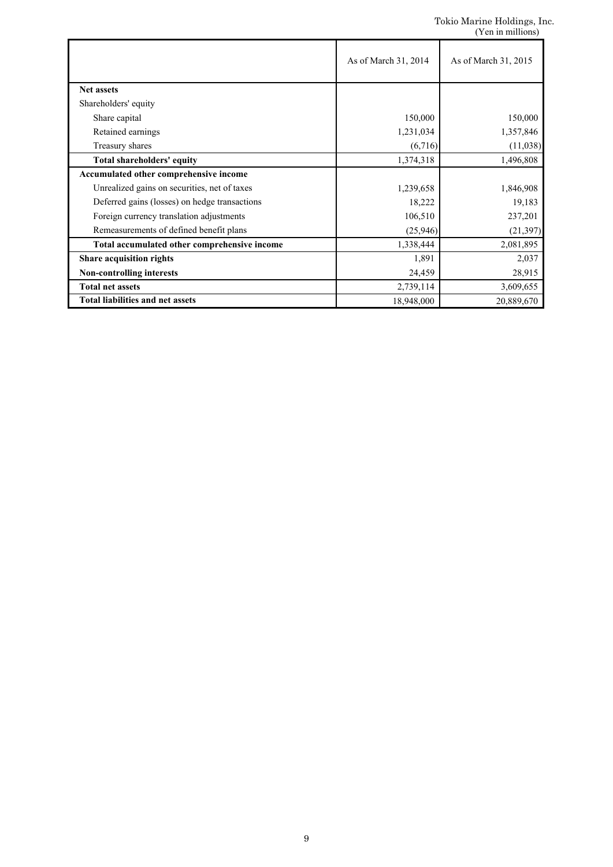|                                               | As of March 31, 2014 | As of March 31, 2015 |
|-----------------------------------------------|----------------------|----------------------|
| <b>Net assets</b>                             |                      |                      |
| Shareholders' equity                          |                      |                      |
| Share capital                                 | 150,000              | 150,000              |
| Retained earnings                             | 1,231,034            | 1,357,846            |
| Treasury shares                               | (6,716)              | (11,038)             |
| Total shareholders' equity                    | 1,374,318            | 1,496,808            |
| Accumulated other comprehensive income        |                      |                      |
| Unrealized gains on securities, net of taxes  | 1,239,658            | 1,846,908            |
| Deferred gains (losses) on hedge transactions | 18,222               | 19,183               |
| Foreign currency translation adjustments      | 106,510              | 237,201              |
| Remeasurements of defined benefit plans       | (25, 946)            | (21, 397)            |
| Total accumulated other comprehensive income  | 1,338,444            | 2,081,895            |
| Share acquisition rights                      | 1,891                | 2,037                |
| <b>Non-controlling interests</b>              | 24,459               | 28,915               |
| <b>Total net assets</b>                       | 2,739,114            | 3,609,655            |
| <b>Total liabilities and net assets</b>       | 18,948,000           | 20,889,670           |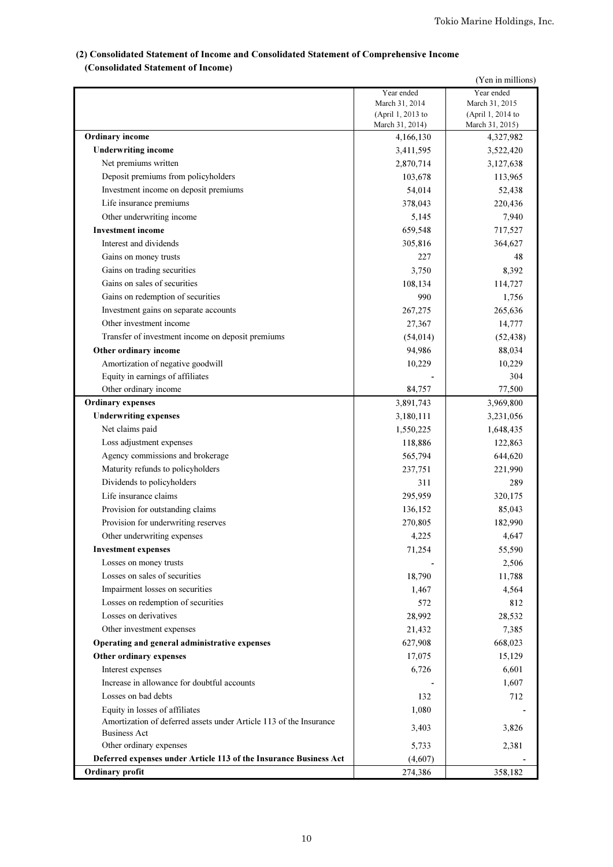# (2) Consolidated Statement of Income and Consolidated Statement of Comprehensive Income (Consolidated Statement of Income)

| (Yen in millions)                                                  |                                      |                                      |  |  |
|--------------------------------------------------------------------|--------------------------------------|--------------------------------------|--|--|
|                                                                    | Year ended                           | Year ended                           |  |  |
|                                                                    | March 31, 2014                       | March 31, 2015                       |  |  |
|                                                                    | (April 1, 2013 to<br>March 31, 2014) | (April 1, 2014 to<br>March 31, 2015) |  |  |
| <b>Ordinary</b> income                                             | 4,166,130                            | 4,327,982                            |  |  |
| <b>Underwriting income</b>                                         | 3,411,595                            | 3,522,420                            |  |  |
| Net premiums written                                               | 2,870,714                            | 3,127,638                            |  |  |
| Deposit premiums from policyholders                                | 103,678                              | 113,965                              |  |  |
| Investment income on deposit premiums                              | 54,014                               | 52,438                               |  |  |
| Life insurance premiums                                            | 378,043                              | 220,436                              |  |  |
| Other underwriting income                                          | 5,145                                | 7,940                                |  |  |
| <b>Investment</b> income                                           | 659,548                              | 717,527                              |  |  |
| Interest and dividends                                             | 305,816                              | 364,627                              |  |  |
| Gains on money trusts                                              | 227                                  | 48                                   |  |  |
| Gains on trading securities                                        | 3,750                                | 8,392                                |  |  |
| Gains on sales of securities                                       | 108,134                              | 114,727                              |  |  |
| Gains on redemption of securities                                  | 990                                  | 1,756                                |  |  |
| Investment gains on separate accounts                              | 267,275                              | 265,636                              |  |  |
| Other investment income                                            | 27,367                               | 14,777                               |  |  |
| Transfer of investment income on deposit premiums                  | (54, 014)                            | (52, 438)                            |  |  |
| Other ordinary income                                              | 94,986                               | 88,034                               |  |  |
| Amortization of negative goodwill                                  | 10,229                               | 10,229                               |  |  |
| Equity in earnings of affiliates                                   |                                      | 304                                  |  |  |
| Other ordinary income                                              | 84,757                               | 77,500                               |  |  |
| <b>Ordinary expenses</b>                                           | 3,891,743                            | 3,969,800                            |  |  |
| <b>Underwriting expenses</b>                                       | 3,180,111                            | 3,231,056                            |  |  |
| Net claims paid                                                    | 1,550,225                            | 1,648,435                            |  |  |
| Loss adjustment expenses                                           | 118,886                              | 122,863                              |  |  |
| Agency commissions and brokerage                                   | 565,794                              | 644,620                              |  |  |
| Maturity refunds to policyholders                                  | 237,751                              | 221,990                              |  |  |
| Dividends to policyholders                                         | 311                                  | 289                                  |  |  |
| Life insurance claims                                              | 295,959                              | 320,175                              |  |  |
| Provision for outstanding claims                                   | 136,152                              | 85,043                               |  |  |
| Provision for underwriting reserves                                | 270,805                              | 182,990                              |  |  |
| Other underwriting expenses                                        | 4,225                                | 4,647                                |  |  |
| <b>Investment expenses</b>                                         | 71,254                               | 55,590                               |  |  |
| Losses on money trusts                                             |                                      | 2,506                                |  |  |
| Losses on sales of securities                                      | 18,790                               | 11,788                               |  |  |
| Impairment losses on securities                                    | 1,467                                | 4,564                                |  |  |
| Losses on redemption of securities                                 | 572                                  | 812                                  |  |  |
| Losses on derivatives                                              | 28,992                               | 28,532                               |  |  |
| Other investment expenses                                          | 21,432                               | 7,385                                |  |  |
| Operating and general administrative expenses                      | 627,908                              | 668,023                              |  |  |
| Other ordinary expenses                                            | 17,075                               | 15,129                               |  |  |
| Interest expenses                                                  | 6,726                                | 6,601                                |  |  |
| Increase in allowance for doubtful accounts                        |                                      | 1,607                                |  |  |
| Losses on bad debts                                                | 132                                  | 712                                  |  |  |
| Equity in losses of affiliates                                     | 1,080                                |                                      |  |  |
| Amortization of deferred assets under Article 113 of the Insurance | 3,403                                | 3,826                                |  |  |
| <b>Business Act</b>                                                |                                      |                                      |  |  |
| Other ordinary expenses                                            | 5,733                                | 2,381                                |  |  |
| Deferred expenses under Article 113 of the Insurance Business Act  | (4,607)                              |                                      |  |  |
| <b>Ordinary profit</b>                                             | 274,386                              | 358,182                              |  |  |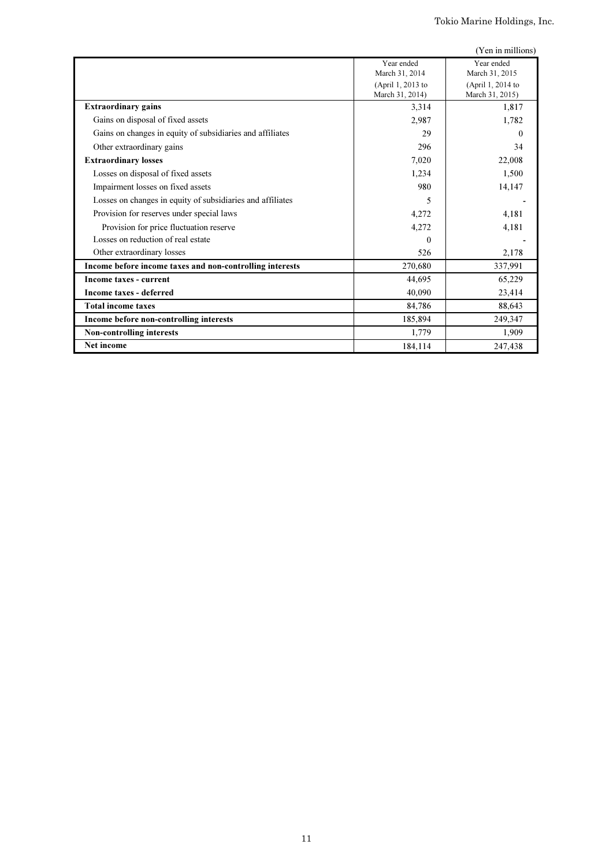|                                                            |                   | (Yen in millions) |
|------------------------------------------------------------|-------------------|-------------------|
|                                                            | Year ended        | Year ended        |
|                                                            | March 31, 2014    | March 31, 2015    |
|                                                            | (April 1, 2013 to | (April 1, 2014 to |
|                                                            | March 31, 2014)   | March 31, 2015)   |
| <b>Extraordinary gains</b>                                 | 3,314             | 1,817             |
| Gains on disposal of fixed assets                          | 2,987             | 1,782             |
| Gains on changes in equity of subsidiaries and affiliates  | 29                |                   |
| Other extraordinary gains                                  | 296               | 34                |
| <b>Extraordinary losses</b>                                | 7,020             | 22,008            |
| Losses on disposal of fixed assets                         | 1,234             | 1,500             |
| Impairment losses on fixed assets                          | 980               | 14,147            |
| Losses on changes in equity of subsidiaries and affiliates | 5                 |                   |
| Provision for reserves under special laws                  | 4,272             | 4,181             |
| Provision for price fluctuation reserve                    | 4,272             | 4,181             |
| Losses on reduction of real estate                         | 0                 |                   |
| Other extraordinary losses                                 | 526               | 2,178             |
| Income before income taxes and non-controlling interests   | 270,680           | 337,991           |
| Income taxes - current                                     | 44.695            | 65,229            |
| Income taxes - deferred                                    | 40.090            | 23,414            |
| <b>Total income taxes</b>                                  | 84,786            | 88,643            |
| Income before non-controlling interests                    | 185,894           | 249,347           |
| <b>Non-controlling interests</b>                           | 1,779             | 1,909             |
| <b>Net income</b>                                          | 184,114           | 247,438           |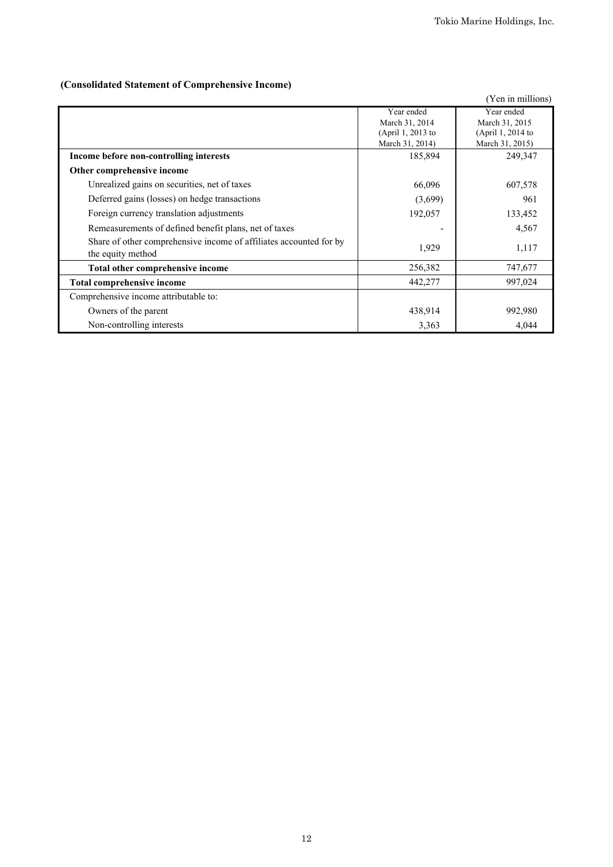# **(Consolidated Statement of Comprehensive Income)**

|                                                                    |                   | (Yen in millions) |
|--------------------------------------------------------------------|-------------------|-------------------|
|                                                                    | Year ended        | Year ended        |
|                                                                    | March 31, 2014    | March 31, 2015    |
|                                                                    | (April 1, 2013 to | (April 1, 2014 to |
|                                                                    | March 31, 2014)   | March 31, 2015)   |
| Income before non-controlling interests                            | 185,894           | 249,347           |
| Other comprehensive income                                         |                   |                   |
| Unrealized gains on securities, net of taxes                       | 66,096            | 607,578           |
| Deferred gains (losses) on hedge transactions                      | (3,699)           | 961               |
| Foreign currency translation adjustments                           | 192,057           | 133,452           |
| Remeasurements of defined benefit plans, net of taxes              |                   | 4,567             |
| Share of other comprehensive income of affiliates accounted for by | 1,929             | 1,117             |
| the equity method                                                  |                   |                   |
| Total other comprehensive income                                   | 256,382           | 747,677           |
| <b>Total comprehensive income</b>                                  | 442,277           | 997,024           |
| Comprehensive income attributable to:                              |                   |                   |
| Owners of the parent                                               | 438,914           | 992,980           |
| Non-controlling interests                                          | 3,363             | 4,044             |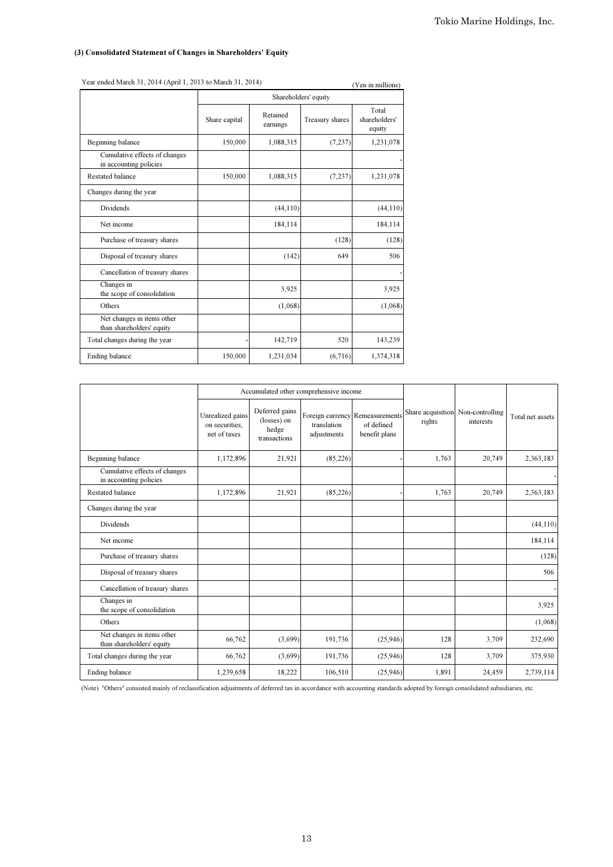# (3) Consolidated Statement of Changes in Shareholders' Equity

| $\frac{1}{2}$<br>(Yen in millions)                      |                      |                      |                 |                                  |  |  |
|---------------------------------------------------------|----------------------|----------------------|-----------------|----------------------------------|--|--|
|                                                         | Shareholders' equity |                      |                 |                                  |  |  |
|                                                         | Share capital        | Retained<br>earnings | Treasury shares | Total<br>shareholders'<br>equity |  |  |
| Beginning balance                                       | 150,000              | 1,088,315            | (7, 237)        | 1,231,078                        |  |  |
| Cumulative effects of changes<br>in accounting policies |                      |                      |                 |                                  |  |  |
| <b>Restated balance</b>                                 | 150,000              | 1,088,315            | (7, 237)        | 1,231,078                        |  |  |
| Changes during the year                                 |                      |                      |                 |                                  |  |  |
| Dividends                                               |                      | (44, 110)            |                 | (44, 110)                        |  |  |
| Net income                                              |                      | 184,114              |                 | 184,114                          |  |  |
| Purchase of treasury shares                             |                      |                      | (128)           | (128)                            |  |  |
| Disposal of treasury shares                             |                      | (142)                | 649             | 506                              |  |  |
| Cancellation of treasury shares                         |                      |                      |                 |                                  |  |  |
| Changes in<br>the scope of consolidation                |                      | 3,925                |                 | 3,925                            |  |  |
| Others                                                  |                      | (1,068)              |                 | (1,068)                          |  |  |
| Net changes in items other<br>than shareholders' equity |                      |                      |                 |                                  |  |  |
| Total changes during the year                           |                      | 142,719              | 520             | 143,239                          |  |  |
| Ending balance                                          | 150,000              | 1,231,034            | (6,716)         | 1,374,318                        |  |  |

|                                                         |                                                    | Accumulated other comprehensive income                 |                            |                                                                |        |                                                |                  |
|---------------------------------------------------------|----------------------------------------------------|--------------------------------------------------------|----------------------------|----------------------------------------------------------------|--------|------------------------------------------------|------------------|
|                                                         | Unrealized gains<br>on securities.<br>net of taxes | Deferred gains<br>(losses) on<br>hedge<br>transactions | translation<br>adjustments | Foreign currency Remeasurements<br>of defined<br>benefit plans | rights | Share acquisition Non-controlling<br>interests | Total net assets |
| Beginning balance                                       | 1,172,896                                          | 21,921                                                 | (85,226)                   |                                                                | 1,763  | 20,749                                         | 2,363,183        |
| Cumulative effects of changes<br>in accounting policies |                                                    |                                                        |                            |                                                                |        |                                                |                  |
| Restated balance                                        | 1,172,896                                          | 21,921                                                 | (85,226)                   |                                                                | 1,763  | 20,749                                         | 2,363,183        |
| Changes during the year                                 |                                                    |                                                        |                            |                                                                |        |                                                |                  |
| Dividends                                               |                                                    |                                                        |                            |                                                                |        |                                                | (44, 110)        |
| Net income                                              |                                                    |                                                        |                            |                                                                |        |                                                | 184,114          |
| Purchase of treasury shares                             |                                                    |                                                        |                            |                                                                |        |                                                | (128)            |
| Disposal of treasury shares                             |                                                    |                                                        |                            |                                                                |        |                                                | 506              |
| Cancellation of treasury shares                         |                                                    |                                                        |                            |                                                                |        |                                                |                  |
| Changes in<br>the scope of consolidation                |                                                    |                                                        |                            |                                                                |        |                                                | 3,925            |
| Others                                                  |                                                    |                                                        |                            |                                                                |        |                                                | (1,068)          |
| Net changes in items other<br>than shareholders' equity | 66,762                                             | (3,699)                                                | 191,736                    | (25,946)                                                       | 128    | 3,709                                          | 232,690          |
| Total changes during the year                           | 66,762                                             | (3,699)                                                | 191,736                    | (25,946)                                                       | 128    | 3,709                                          | 375,930          |
| Ending balance                                          | 1,239,658                                          | 18,222                                                 | 106,510                    | (25,946)                                                       | 1,891  | 24,459                                         | 2,739,114        |

Year ended March 31, 2014 (April 1, 2013 to March 31, 2014) (Yen in millions)

(Note) "Others" consisted mainly of reclassification adjustments of deferred tax in accordance with accounting standards adopted by foreign consolidated subsidiaries, etc.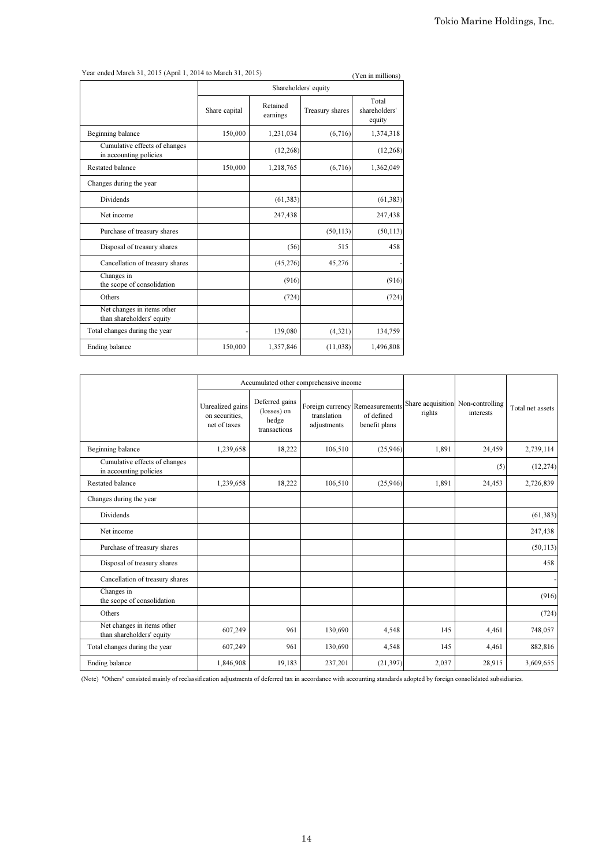Year ended March 31, 2015 (April 1, 2014 to March 31, 2015) (Yen in millions)

|                                                         |                      |                      |                 | $(1$ ch in immons)               |  |  |
|---------------------------------------------------------|----------------------|----------------------|-----------------|----------------------------------|--|--|
|                                                         | Shareholders' equity |                      |                 |                                  |  |  |
|                                                         | Share capital        | Retained<br>earnings | Treasury shares | Total<br>shareholders'<br>equity |  |  |
| Beginning balance                                       | 150,000              | 1,231,034            | (6,716)         | 1,374,318                        |  |  |
| Cumulative effects of changes<br>in accounting policies |                      | (12, 268)            |                 | (12, 268)                        |  |  |
| Restated balance                                        | 150,000              | 1,218,765            | (6,716)         | 1,362,049                        |  |  |
| Changes during the year                                 |                      |                      |                 |                                  |  |  |
| Dividends                                               |                      | (61, 383)            |                 | (61, 383)                        |  |  |
| Net income                                              |                      | 247,438              |                 | 247,438                          |  |  |
| Purchase of treasury shares                             |                      |                      | (50, 113)       | (50, 113)                        |  |  |
| Disposal of treasury shares                             |                      | (56)                 | 515             | 458                              |  |  |
| Cancellation of treasury shares                         |                      | (45,276)             | 45,276          |                                  |  |  |
| Changes in<br>the scope of consolidation                |                      | (916)                |                 | (916)                            |  |  |
| Others                                                  |                      | (724)                |                 | (724)                            |  |  |
| Net changes in items other<br>than shareholders' equity |                      |                      |                 |                                  |  |  |
| Total changes during the year                           |                      | 139,080              | (4,321)         | 134,759                          |  |  |
| Ending balance                                          | 150,000              | 1,357,846            | (11,038)        | 1,496,808                        |  |  |

|                                                         | Accumulated other comprehensive income             |                                                        |                            |                                                                |                                             |           |                  |
|---------------------------------------------------------|----------------------------------------------------|--------------------------------------------------------|----------------------------|----------------------------------------------------------------|---------------------------------------------|-----------|------------------|
|                                                         | Unrealized gains<br>on securities.<br>net of taxes | Deferred gains<br>(losses) on<br>hedge<br>transactions | translation<br>adjustments | Foreign currency Remeasurements<br>of defined<br>benefit plans | Share acquisition Non-controlling<br>rights | interests | Total net assets |
| Beginning balance                                       | 1,239,658                                          | 18,222                                                 | 106,510                    | (25,946)                                                       | 1,891                                       | 24,459    | 2,739,114        |
| Cumulative effects of changes<br>in accounting policies |                                                    |                                                        |                            |                                                                |                                             | (5)       | (12, 274)        |
| <b>Restated balance</b>                                 | 1,239,658                                          | 18,222                                                 | 106,510                    | (25,946)                                                       | 1,891                                       | 24,453    | 2,726,839        |
| Changes during the year                                 |                                                    |                                                        |                            |                                                                |                                             |           |                  |
| <b>Dividends</b>                                        |                                                    |                                                        |                            |                                                                |                                             |           | (61, 383)        |
| Net income                                              |                                                    |                                                        |                            |                                                                |                                             |           | 247,438          |
| Purchase of treasury shares                             |                                                    |                                                        |                            |                                                                |                                             |           | (50, 113)        |
| Disposal of treasury shares                             |                                                    |                                                        |                            |                                                                |                                             |           | 458              |
| Cancellation of treasury shares                         |                                                    |                                                        |                            |                                                                |                                             |           |                  |
| Changes in<br>the scope of consolidation                |                                                    |                                                        |                            |                                                                |                                             |           | (916)            |
| Others                                                  |                                                    |                                                        |                            |                                                                |                                             |           | (724)            |
| Net changes in items other<br>than shareholders' equity | 607,249                                            | 961                                                    | 130,690                    | 4,548                                                          | 145                                         | 4,461     | 748,057          |
| Total changes during the year                           | 607,249                                            | 961                                                    | 130,690                    | 4,548                                                          | 145                                         | 4,461     | 882,816          |
| Ending balance                                          | 1,846,908                                          | 19,183                                                 | 237,201                    | (21, 397)                                                      | 2,037                                       | 28,915    | 3,609,655        |

(Note) "Others" consisted mainly of reclassification adjustments of deferred tax in accordance with accounting standards adopted by foreign consolidated subsidiaries.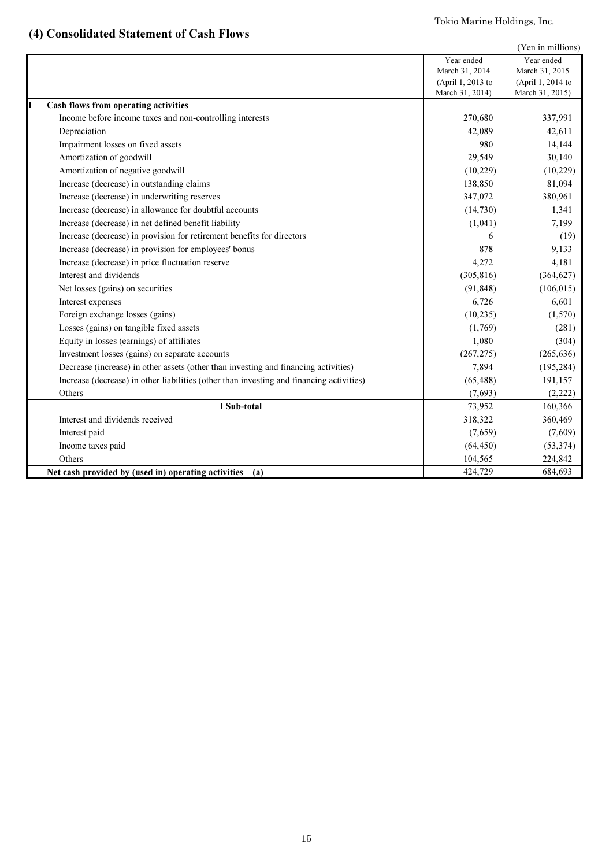# Tokio Marine Holdings, Inc.

# (4) Consolidated Statement of Cash Flows

|                                                                                          |                   | (Yen in millions) |
|------------------------------------------------------------------------------------------|-------------------|-------------------|
|                                                                                          | Year ended        | Year ended        |
|                                                                                          | March 31, 2014    | March 31, 2015    |
|                                                                                          | (April 1, 2013 to | (April 1, 2014 to |
|                                                                                          | March 31, 2014)   | March 31, 2015)   |
| Cash flows from operating activities                                                     |                   |                   |
| Income before income taxes and non-controlling interests                                 | 270,680           | 337,991           |
| Depreciation                                                                             | 42,089            | 42,611            |
| Impairment losses on fixed assets                                                        | 980               | 14,144            |
| Amortization of goodwill                                                                 | 29,549            | 30,140            |
| Amortization of negative goodwill                                                        | (10,229)          | (10, 229)         |
| Increase (decrease) in outstanding claims                                                | 138,850           | 81,094            |
| Increase (decrease) in underwriting reserves                                             | 347,072           | 380,961           |
| Increase (decrease) in allowance for doubtful accounts                                   | (14,730)          | 1,341             |
| Increase (decrease) in net defined benefit liability                                     | (1,041)           | 7,199             |
| Increase (decrease) in provision for retirement benefits for directors                   | 6                 | (19)              |
| Increase (decrease) in provision for employees' bonus                                    | 878               | 9,133             |
| Increase (decrease) in price fluctuation reserve                                         | 4,272             | 4,181             |
| Interest and dividends                                                                   | (305, 816)        | (364, 627)        |
| Net losses (gains) on securities                                                         | (91, 848)         | (106, 015)        |
| Interest expenses                                                                        | 6,726             | 6,601             |
| Foreign exchange losses (gains)                                                          | (10, 235)         | (1,570)           |
| Losses (gains) on tangible fixed assets                                                  | (1,769)           | (281)             |
| Equity in losses (earnings) of affiliates                                                | 1,080             | (304)             |
| Investment losses (gains) on separate accounts                                           | (267, 275)        | (265, 636)        |
| Decrease (increase) in other assets (other than investing and financing activities)      | 7,894             | (195, 284)        |
| Increase (decrease) in other liabilities (other than investing and financing activities) | (65, 488)         | 191,157           |
| Others                                                                                   | (7,693)           | (2,222)           |
| I Sub-total                                                                              | 73,952            | 160,366           |
| Interest and dividends received                                                          | 318,322           | 360,469           |
| Interest paid                                                                            | (7,659)           | (7,609)           |
| Income taxes paid                                                                        | (64, 450)         | (53, 374)         |
| Others                                                                                   | 104,565           | 224,842           |
| Net cash provided by (used in) operating activities<br>(a)                               | 424,729           | 684,693           |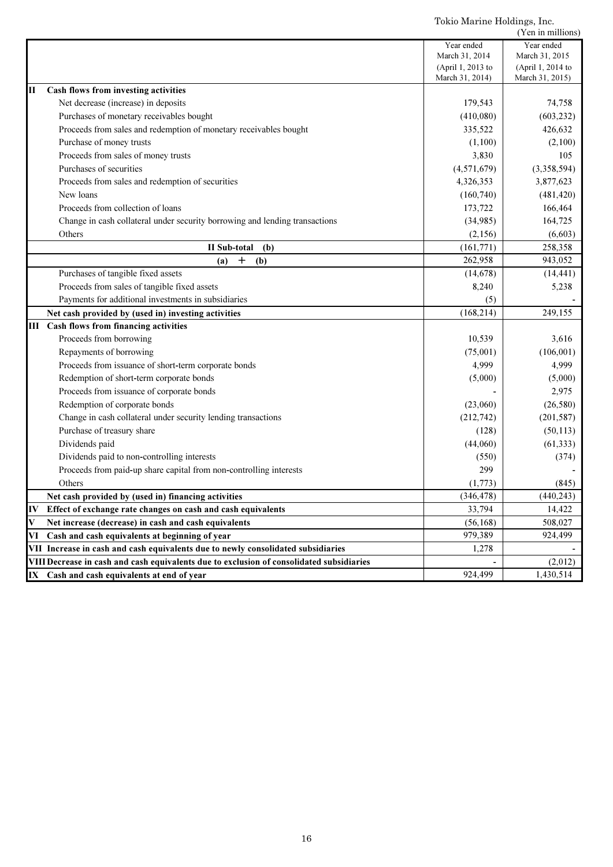Tokio Marine Holdings, Inc.

|      |                                                                                          |                   | (Yen in millions) |
|------|------------------------------------------------------------------------------------------|-------------------|-------------------|
|      |                                                                                          | Year ended        | Year ended        |
|      |                                                                                          | March 31, 2014    | March 31, 2015    |
|      |                                                                                          | (April 1, 2013 to | (April 1, 2014 to |
|      |                                                                                          | March 31, 2014)   | March 31, 2015)   |
| Ш    | Cash flows from investing activities                                                     |                   |                   |
|      | Net decrease (increase) in deposits                                                      | 179,543           | 74,758            |
|      | Purchases of monetary receivables bought                                                 | (410,080)         | (603, 232)        |
|      | Proceeds from sales and redemption of monetary receivables bought                        | 335,522           | 426,632           |
|      | Purchase of money trusts                                                                 | (1,100)           | (2,100)           |
|      | Proceeds from sales of money trusts                                                      | 3,830             | 105               |
|      | Purchases of securities                                                                  | (4,571,679)       | (3,358,594)       |
|      | Proceeds from sales and redemption of securities                                         | 4,326,353         | 3,877,623         |
|      | New loans                                                                                | (160,740)         | (481, 420)        |
|      | Proceeds from collection of loans                                                        | 173,722           | 166,464           |
|      | Change in cash collateral under security borrowing and lending transactions              | (34,985)          | 164,725           |
|      | Others                                                                                   | (2,156)           | (6,603)           |
|      | II Sub-total<br>(b)                                                                      | (161,771)         | 258,358           |
|      | $\mathbf +$<br>(a)<br>(b)                                                                | 262,958           | 943,052           |
|      | Purchases of tangible fixed assets                                                       | (14, 678)         | (14, 441)         |
|      | Proceeds from sales of tangible fixed assets                                             | 8,240             | 5,238             |
|      | Payments for additional investments in subsidiaries                                      | (5)               |                   |
|      | Net cash provided by (used in) investing activities                                      | (168, 214)        | 249,155           |
|      | <b>III</b> Cash flows from financing activities                                          |                   |                   |
|      | Proceeds from borrowing                                                                  | 10,539            | 3,616             |
|      | Repayments of borrowing                                                                  | (75,001)          | (106, 001)        |
|      | Proceeds from issuance of short-term corporate bonds                                     | 4,999             | 4,999             |
|      | Redemption of short-term corporate bonds                                                 | (5,000)           | (5,000)           |
|      | Proceeds from issuance of corporate bonds                                                |                   | 2,975             |
|      | Redemption of corporate bonds                                                            | (23,060)          | (26, 580)         |
|      | Change in cash collateral under security lending transactions                            | (212,742)         | (201, 587)        |
|      | Purchase of treasury share                                                               | (128)             | (50, 113)         |
|      | Dividends paid                                                                           | (44,060)          | (61, 333)         |
|      | Dividends paid to non-controlling interests                                              | (550)             | (374)             |
|      | Proceeds from paid-up share capital from non-controlling interests                       | 299               |                   |
|      | Others                                                                                   | (1,773)           | (845)             |
|      | Net cash provided by (used in) financing activities                                      | (346, 478)        | (440, 243)        |
| IV   | Effect of exchange rate changes on cash and cash equivalents                             | 33,794            | 14,422            |
| V    | Net increase (decrease) in cash and cash equivalents                                     | (56, 168)         | 508,027           |
| VI   | Cash and cash equivalents at beginning of year                                           | 979,389           | 924,499           |
|      | VII Increase in cash and cash equivalents due to newly consolidated subsidiaries         | 1,278             |                   |
|      | VIII Decrease in cash and cash equivalents due to exclusion of consolidated subsidiaries |                   | (2,012)           |
| IX - | Cash and cash equivalents at end of year                                                 | 924,499           | 1,430,514         |
|      |                                                                                          |                   |                   |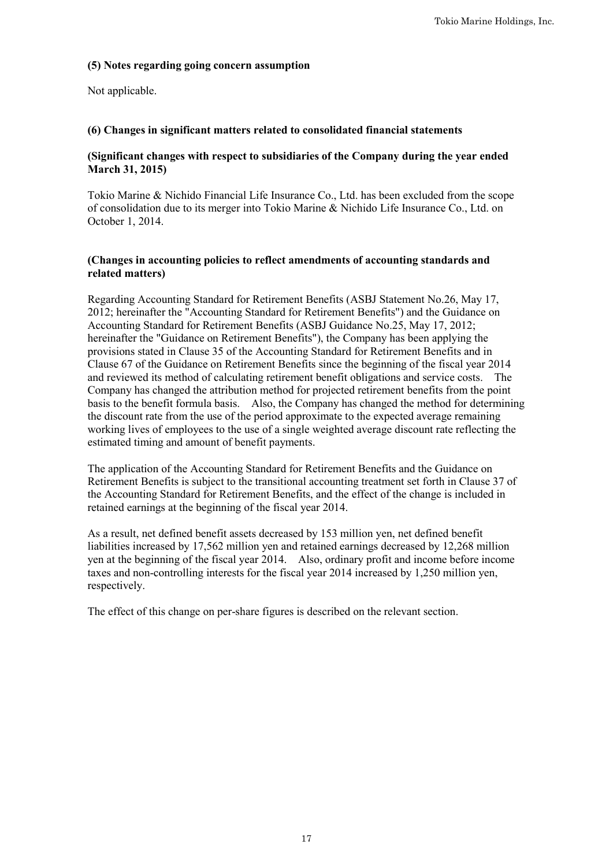# **(5) Notes regarding going concern assumption**

Not applicable.

# **(6) Changes in significant matters related to consolidated financial statements**

# **(Significant changes with respect to subsidiaries of the Company during the year ended March 31, 2015)**

Tokio Marine & Nichido Financial Life Insurance Co., Ltd. has been excluded from the scope of consolidation due to its merger into Tokio Marine & Nichido Life Insurance Co., Ltd. on October 1, 2014.

# **(Changes in accounting policies to reflect amendments of accounting standards and related matters)**

Regarding Accounting Standard for Retirement Benefits (ASBJ Statement No.26, May 17, 2012; hereinafter the "Accounting Standard for Retirement Benefits") and the Guidance on Accounting Standard for Retirement Benefits (ASBJ Guidance No.25, May 17, 2012; hereinafter the "Guidance on Retirement Benefits"), the Company has been applying the provisions stated in Clause 35 of the Accounting Standard for Retirement Benefits and in Clause 67 of the Guidance on Retirement Benefits since the beginning of the fiscal year 2014 and reviewed its method of calculating retirement benefit obligations and service costs. The Company has changed the attribution method for projected retirement benefits from the point basis to the benefit formula basis. Also, the Company has changed the method for determining the discount rate from the use of the period approximate to the expected average remaining working lives of employees to the use of a single weighted average discount rate reflecting the estimated timing and amount of benefit payments.

The application of the Accounting Standard for Retirement Benefits and the Guidance on Retirement Benefits is subject to the transitional accounting treatment set forth in Clause 37 of the Accounting Standard for Retirement Benefits, and the effect of the change is included in retained earnings at the beginning of the fiscal year 2014.

As a result, net defined benefit assets decreased by 153 million yen, net defined benefit liabilities increased by 17,562 million yen and retained earnings decreased by 12,268 million yen at the beginning of the fiscal year 2014. Also, ordinary profit and income before income taxes and non-controlling interests for the fiscal year 2014 increased by 1,250 million yen, respectively.

The effect of this change on per-share figures is described on the relevant section.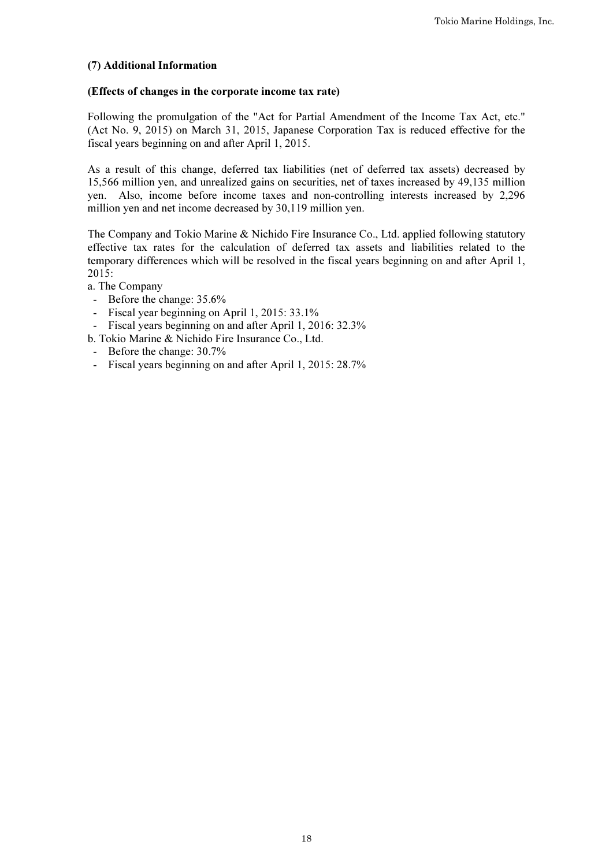# (7) Additional Information

# (Effects of changes in the corporate income tax rate)

Following the promulgation of the "Act for Partial Amendment of the Income Tax Act, etc." (Act No. 9, 2015) on March 31, 2015, Japanese Corporation Tax is reduced effective for the fiscal years beginning on and after April 1, 2015.

As a result of this change, deferred tax liabilities (net of deferred tax assets) decreased by 15,566 million yen, and unrealized gains on securities, net of taxes increased by 49,135 million yen. Also, income before income taxes and non-controlling interests increased by 2,296 million yen and net income decreased by 30,119 million yen.

The Company and Tokio Marine & Nichido Fire Insurance Co., Ltd. applied following statutory effective tax rates for the calculation of deferred tax assets and liabilities related to the temporary differences which will be resolved in the fiscal years beginning on and after April 1, 2015:

a. The Company

- Before the change: 35.6%
- Fiscal year beginning on April 1, 2015: 33.1%
- Fiscal years beginning on and after April 1, 2016: 32.3%
- b. Tokio Marine & Nichido Fire Insurance Co., Ltd.
- Before the change: 30.7%
- Fiscal years beginning on and after April 1, 2015: 28.7%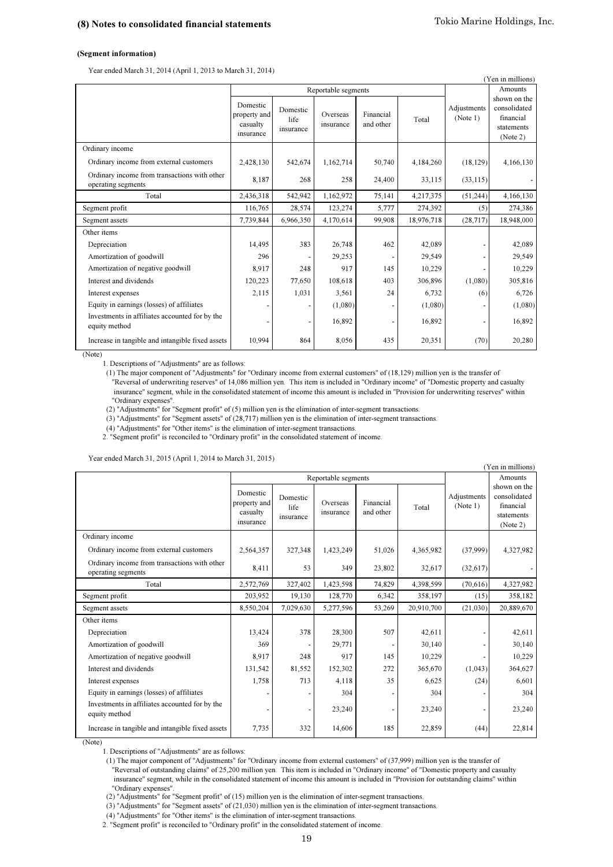### (Segment information)

Year ended March 31, 2014 (April 1, 2013 to March 31, 2014)

| (Yen in millions)                                                  |                                                   |                               |                       |                        |            |                         |                                                                     |  |  |  |
|--------------------------------------------------------------------|---------------------------------------------------|-------------------------------|-----------------------|------------------------|------------|-------------------------|---------------------------------------------------------------------|--|--|--|
|                                                                    |                                                   |                               | Reportable segments   |                        |            |                         | Amounts                                                             |  |  |  |
|                                                                    | Domestic<br>property and<br>casualty<br>insurance | Domestic<br>life<br>insurance | Overseas<br>insurance | Financial<br>and other | Total      | Adjustments<br>(Note 1) | shown on the<br>consolidated<br>financial<br>statements<br>(Note 2) |  |  |  |
| Ordinary income                                                    |                                                   |                               |                       |                        |            |                         |                                                                     |  |  |  |
| Ordinary income from external customers                            | 2,428,130                                         | 542,674                       | 1,162,714             | 50,740                 | 4,184,260  | (18, 129)               | 4,166,130                                                           |  |  |  |
| Ordinary income from transactions with other<br>operating segments | 8,187                                             | 268                           | 258                   | 24,400                 | 33,115     | (33, 115)               |                                                                     |  |  |  |
| Total                                                              | 2,436,318                                         | 542,942                       | 1,162,972             | 75,141                 | 4,217,375  | (51, 244)               | 4,166,130                                                           |  |  |  |
| Segment profit                                                     | 116,765                                           | 28,574                        | 123,274               | 5,777                  | 274,392    | (5)                     | 274,386                                                             |  |  |  |
| Segment assets                                                     | 7,739,844                                         | 6,966,350                     | 4,170,614             | 99,908                 | 18,976,718 | (28, 717)               | 18,948,000                                                          |  |  |  |
| Other items                                                        |                                                   |                               |                       |                        |            |                         |                                                                     |  |  |  |
| Depreciation                                                       | 14,495                                            | 383                           | 26,748                | 462                    | 42,089     |                         | 42,089                                                              |  |  |  |
| Amortization of goodwill                                           | 296                                               |                               | 29,253                |                        | 29,549     |                         | 29,549                                                              |  |  |  |
| Amortization of negative goodwill                                  | 8,917                                             | 248                           | 917                   | 145                    | 10,229     |                         | 10,229                                                              |  |  |  |
| Interest and dividends                                             | 120,223                                           | 77,650                        | 108,618               | 403                    | 306,896    | (1,080)                 | 305,816                                                             |  |  |  |
| Interest expenses                                                  | 2,115                                             | 1,031                         | 3,561                 | 24                     | 6,732      | (6)                     | 6,726                                                               |  |  |  |
| Equity in earnings (losses) of affiliates                          |                                                   |                               | (1,080)               |                        | (1,080)    |                         | (1,080)                                                             |  |  |  |
| Investments in affiliates accounted for by the<br>equity method    |                                                   |                               | 16,892                | -                      | 16,892     |                         | 16,892                                                              |  |  |  |
| Increase in tangible and intangible fixed assets                   | 10.994                                            | 864                           | 8,056                 | 435                    | 20,351     | (70)                    | 20,280                                                              |  |  |  |

(Note)

1. Descriptions of "Adjustments" are as follows:

 "Ordinary expenses". (1) The major component of "Adjustments" for "Ordinary income from external customers" of (18,129) million yen is the transfer of "Reversal of underwriting reserves" of 14,086 million yen. This item is included in "Ordinary income" of "Domestic property and casualty insurance" segment, while in the consolidated statement of income this amount is included in "Provision for underwriting reserves" within

(2) "Adjustments" for "Segment profit" of (5) million yen is the elimination of inter-segment transactions.

(3) "Adjustments" for "Segment assets" of (28,717) million yen is the elimination of inter-segment transactions.

(4) "Adjustments" for "Other items" is the elimination of inter-segment transactions.

2. "Segment profit" is reconciled to "Ordinary profit" in the consolidated statement of income.

Year ended March 31, 2015 (April 1, 2014 to March 31, 2015)

|                                                                    |                                                   |                               |                       |                        |            |                         | (Yen in millions)                                                   |
|--------------------------------------------------------------------|---------------------------------------------------|-------------------------------|-----------------------|------------------------|------------|-------------------------|---------------------------------------------------------------------|
|                                                                    |                                                   |                               | Reportable segments   |                        |            |                         | Amounts                                                             |
|                                                                    | Domestic<br>property and<br>casualty<br>insurance | Domestic<br>life<br>insurance | Overseas<br>insurance | Financial<br>and other | Total      | Adjustments<br>(Note 1) | shown on the<br>consolidated<br>financial<br>statements<br>(Note 2) |
| Ordinary income                                                    |                                                   |                               |                       |                        |            |                         |                                                                     |
| Ordinary income from external customers                            | 2,564,357                                         | 327,348                       | 1,423,249             | 51,026                 | 4,365,982  | (37,999)                | 4,327,982                                                           |
| Ordinary income from transactions with other<br>operating segments | 8,411                                             | 53                            | 349                   | 23,802                 | 32,617     | (32,617)                |                                                                     |
| Total                                                              | 2,572,769                                         | 327,402                       | 1,423,598             | 74.829                 | 4,398,599  | (70,616)                | 4,327,982                                                           |
| Segment profit                                                     | 203,952                                           | 19,130                        | 128,770               | 6,342                  | 358,197    | (15)                    | 358,182                                                             |
| Segment assets                                                     | 8,550,204                                         | 7,029,630                     | 5,277,596             | 53,269                 | 20,910,700 | (21,030)                | 20,889,670                                                          |
| Other items                                                        |                                                   |                               |                       |                        |            |                         |                                                                     |
| Depreciation                                                       | 13,424                                            | 378                           | 28,300                | 507                    | 42,611     |                         | 42,611                                                              |
| Amortization of goodwill                                           | 369                                               |                               | 29,771                |                        | 30,140     |                         | 30,140                                                              |
| Amortization of negative goodwill                                  | 8,917                                             | 248                           | 917                   | 145                    | 10,229     |                         | 10,229                                                              |
| Interest and dividends                                             | 131,542                                           | 81,552                        | 152,302               | 272                    | 365,670    | (1,043)                 | 364,627                                                             |
| Interest expenses                                                  | 1,758                                             | 713                           | 4,118                 | 35                     | 6,625      | (24)                    | 6,601                                                               |
| Equity in earnings (losses) of affiliates                          |                                                   |                               | 304                   |                        | 304        |                         | 304                                                                 |
| Investments in affiliates accounted for by the<br>equity method    |                                                   |                               | 23,240                |                        | 23,240     |                         | 23,240                                                              |
| Increase in tangible and intangible fixed assets                   | 7,735                                             | 332                           | 14,606                | 185                    | 22,859     | (44)                    | 22,814                                                              |

(Note)

1. Descriptions of "Adjustments" are as follows:

 "Reversal of outstanding claims" of 25,200 million yen. This item is included in "Ordinary income" of "Domestic property and casualty insurance" segment, while in the consolidated statement of income this amount is included in "Provision for outstanding claims" within "Ordinary expenses". (1) The major component of "Adjustments" for "Ordinary income from external customers" of (37,999) million yen is the transfer of

(2) "Adjustments" for "Segment profit" of (15) million yen is the elimination of inter-segment transactions.

(3) "Adjustments" for "Segment assets" of (21,030) million yen is the elimination of inter-segment transactions.

(4) "Adjustments" for "Other items" is the elimination of inter-segment transactions.

2. "Segment profit" is reconciled to "Ordinary profit" in the consolidated statement of income.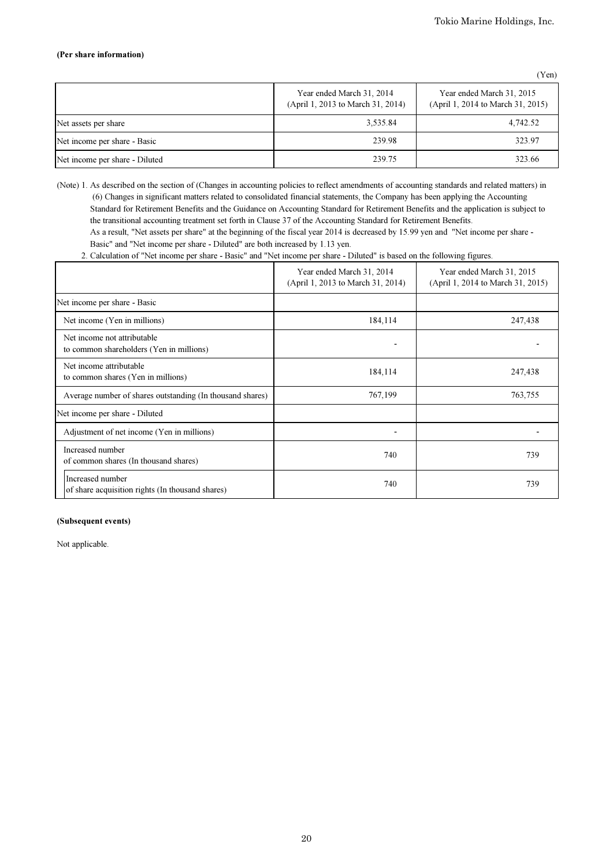## (Per share information)

(Yen)

|                                | Year ended March 31, 2014<br>(April 1, 2013 to March 31, 2014) | Year ended March 31, 2015<br>(April 1, 2014 to March 31, 2015) |
|--------------------------------|----------------------------------------------------------------|----------------------------------------------------------------|
| Net assets per share           | 3,535.84                                                       | 4,742.52                                                       |
| Net income per share - Basic   | 239.98                                                         | 323.97                                                         |
| Net income per share - Diluted | 239.75                                                         | 323.66                                                         |

(Note) 1. As described on the section of (Changes in accounting policies to reflect amendments of accounting standards and related matters) in (6) Changes in significant matters related to consolidated financial statements, the Company has been applying the Accounting Standard for Retirement Benefits and the Guidance on Accounting Standard for Retirement Benefits and the application is subject to the transitional accounting treatment set forth in Clause 37 of the Accounting Standard for Retirement Benefits.

 As a result, "Net assets per share" at the beginning of the fiscal year 2014 is decreased by 15.99 yen and "Net income per share - Basic" and "Net income per share - Diluted" are both increased by 1.13 yen.

2. Calculation of "Net income per share - Basic" and "Net income per share - Diluted" is based on the following figures.

|                                                                         | Year ended March 31, 2014<br>(April 1, 2013 to March 31, 2014) | Year ended March 31, 2015<br>(April 1, 2014 to March 31, 2015) |
|-------------------------------------------------------------------------|----------------------------------------------------------------|----------------------------------------------------------------|
| Net income per share - Basic                                            |                                                                |                                                                |
| Net income (Yen in millions)                                            | 184,114                                                        | 247,438                                                        |
| Net income not attributable<br>to common shareholders (Yen in millions) |                                                                |                                                                |
| Net income attributable<br>to common shares (Yen in millions)           | 184,114                                                        | 247,438                                                        |
| Average number of shares outstanding (In thousand shares)               | 767,199                                                        | 763,755                                                        |
| Net income per share - Diluted                                          |                                                                |                                                                |
| Adjustment of net income (Yen in millions)                              |                                                                |                                                                |
| Increased number<br>of common shares (In thousand shares)               | 740                                                            | 739                                                            |
| Increased number<br>of share acquisition rights (In thousand shares)    | 740                                                            | 739                                                            |

## (Subsequent events)

Not applicable.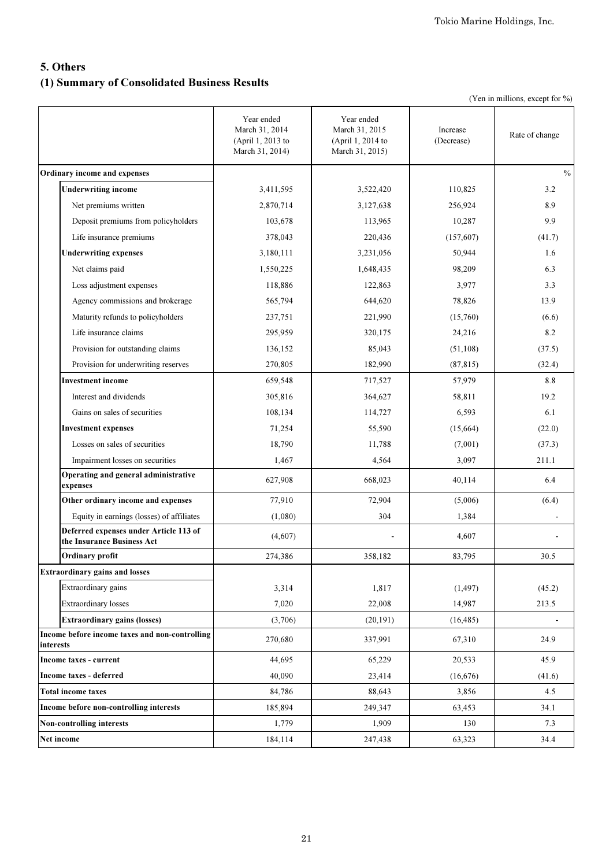# 5. Others (1) Summary of Consolidated Business Results

|  |  | (Yen in millions, except for %) |  |  |  |
|--|--|---------------------------------|--|--|--|
|--|--|---------------------------------|--|--|--|

|                                                                      | Year ended<br>March 31, 2014<br>(April 1, 2013 to<br>March 31, 2014) | Year ended<br>March 31, 2015<br>(April 1, 2014 to<br>March 31, 2015) | Increase<br>(Decrease) | Rate of change |
|----------------------------------------------------------------------|----------------------------------------------------------------------|----------------------------------------------------------------------|------------------------|----------------|
| Ordinary income and expenses                                         |                                                                      |                                                                      |                        | $\frac{0}{0}$  |
| <b>Underwriting income</b>                                           | 3,411,595                                                            | 3,522,420                                                            | 110,825                | 3.2            |
| Net premiums written                                                 | 2,870,714                                                            | 3,127,638                                                            | 256,924                | 8.9            |
| Deposit premiums from policyholders                                  | 103,678                                                              | 113,965                                                              | 10,287                 | 9.9            |
| Life insurance premiums                                              | 378,043                                                              | 220,436                                                              | (157,607)              | (41.7)         |
| <b>Underwriting expenses</b>                                         | 3,180,111                                                            | 3,231,056                                                            | 50,944                 | 1.6            |
| Net claims paid                                                      | 1,550,225                                                            | 1,648,435                                                            | 98,209                 | 6.3            |
| Loss adjustment expenses                                             | 118,886                                                              | 122,863                                                              | 3,977                  | 3.3            |
| Agency commissions and brokerage                                     | 565,794                                                              | 644,620                                                              | 78,826                 | 13.9           |
| Maturity refunds to policyholders                                    | 237,751                                                              | 221,990                                                              | (15,760)               | (6.6)          |
| Life insurance claims                                                | 295,959                                                              | 320,175                                                              | 24,216                 | 8.2            |
| Provision for outstanding claims                                     | 136,152                                                              | 85,043                                                               | (51, 108)              | (37.5)         |
| Provision for underwriting reserves                                  | 270,805                                                              | 182,990                                                              | (87, 815)              | (32.4)         |
| <b>Investment income</b>                                             | 659,548                                                              | 717,527                                                              | 57,979                 | 8.8            |
| Interest and dividends                                               | 305,816                                                              | 364,627                                                              | 58,811                 | 19.2           |
| Gains on sales of securities                                         | 108,134                                                              | 114,727                                                              | 6,593                  | 6.1            |
| <b>Investment expenses</b>                                           | 71,254                                                               | 55,590                                                               | (15,664)               | (22.0)         |
| Losses on sales of securities                                        | 18,790                                                               | 11,788                                                               | (7,001)                | (37.3)         |
| Impairment losses on securities                                      | 1,467                                                                | 4,564                                                                | 3,097                  | 211.1          |
| Operating and general administrative<br>expenses                     | 627,908                                                              | 668,023                                                              | 40,114                 | 6.4            |
| Other ordinary income and expenses                                   | 77,910                                                               | 72,904                                                               | (5,006)                | (6.4)          |
| Equity in earnings (losses) of affiliates                            | (1,080)                                                              | 304                                                                  | 1,384                  | $\blacksquare$ |
| Deferred expenses under Article 113 of<br>the Insurance Business Act | (4,607)                                                              |                                                                      | 4,607                  |                |
| <b>Ordinary profit</b>                                               | 274,386                                                              | 358,182                                                              | 83,795                 | 30.5           |
| <b>Extraordinary gains and losses</b>                                |                                                                      |                                                                      |                        |                |
| Extraordinary gains                                                  | 3,314                                                                | 1,817                                                                | (1, 497)               | (45.2)         |
| <b>Extraordinary losses</b>                                          | 7,020                                                                | 22,008                                                               | 14,987                 | 213.5          |
| <b>Extraordinary gains (losses)</b>                                  | (3,706)                                                              | (20, 191)                                                            | (16, 485)              |                |
| Income before income taxes and non-controlling<br>interests          | 270,680                                                              | 337,991                                                              | 67,310                 | 24.9           |
| Income taxes - current                                               | 44,695                                                               | 65,229                                                               | 20,533                 | 45.9           |
| Income taxes - deferred                                              | 40,090                                                               | 23,414                                                               | (16,676)               | (41.6)         |
| <b>Total income taxes</b>                                            | 84,786                                                               | 88,643                                                               | 3,856                  | 4.5            |
| Income before non-controlling interests                              | 185,894                                                              | 249,347                                                              | 63,453                 | 34.1           |
| Non-controlling interests                                            | 1,779                                                                | 1,909                                                                | 130                    | 7.3            |
| Net income                                                           | 184,114                                                              | 247,438                                                              | 63,323                 | 34.4           |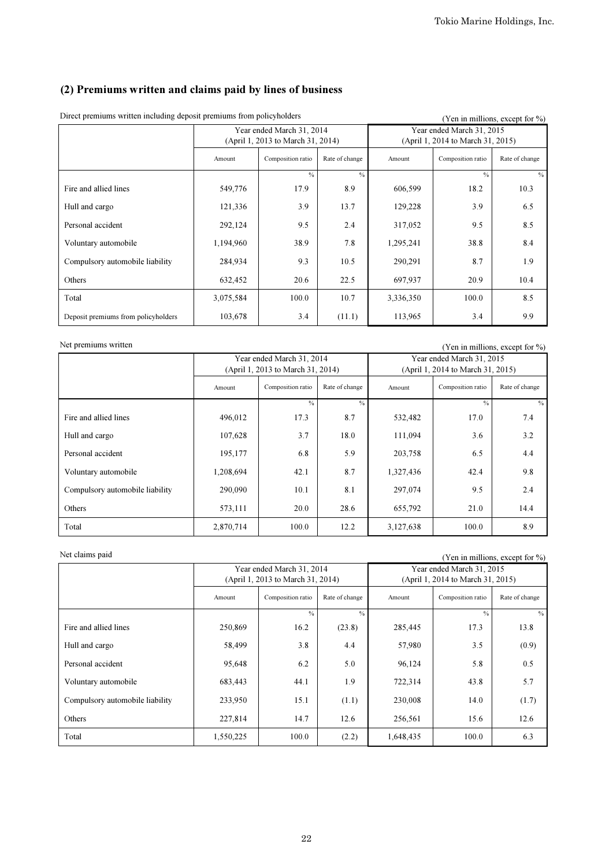# (2) Premiums written and claims paid by lines of business

| Ducer premiums written meruding ueposit premiums from poncynolucis |           |                                   | $($ $\chi$ en in millions, except for $\%$ ) |                                                                |                   |                |
|--------------------------------------------------------------------|-----------|-----------------------------------|----------------------------------------------|----------------------------------------------------------------|-------------------|----------------|
|                                                                    |           | Year ended March 31, 2014         |                                              | Year ended March 31, 2015<br>(April 1, 2014 to March 31, 2015) |                   |                |
|                                                                    |           | (April 1, 2013 to March 31, 2014) |                                              |                                                                |                   |                |
|                                                                    | Amount    | Composition ratio                 | Rate of change                               | Amount                                                         | Composition ratio | Rate of change |
|                                                                    |           | $\frac{0}{0}$                     | $\frac{0}{0}$                                |                                                                | $\frac{0}{0}$     | $\%$           |
| Fire and allied lines                                              | 549,776   | 17.9                              | 8.9                                          | 606,599                                                        | 18.2              | 10.3           |
| Hull and cargo                                                     | 121,336   | 3.9                               | 13.7                                         | 129,228                                                        | 3.9               | 6.5            |
| Personal accident                                                  | 292,124   | 9.5                               | 2.4                                          | 317,052                                                        | 9.5               | 8.5            |
| Voluntary automobile                                               | 1,194,960 | 38.9                              | 7.8                                          | 1,295,241                                                      | 38.8              | 8.4            |
| Compulsory automobile liability                                    | 284,934   | 9.3                               | 10.5                                         | 290,291                                                        | 8.7               | 1.9            |
| Others                                                             | 632,452   | 20.6                              | 22.5                                         | 697,937                                                        | 20.9              | 10.4           |
| Total                                                              | 3,075,584 | 100.0                             | 10.7                                         | 3,336,350                                                      | 100.0             | 8.5            |
| Deposit premiums from policyholders                                | 103,678   | 3.4                               | (11.1)                                       | 113,965                                                        | 3.4               | 9.9            |

Direct premiums written including deposit premiums from policyholders (Yen in millions, except for %)

Net premiums written (Yen in millions, except for %)

|                                 | Year ended March 31, 2014<br>(April 1, 2013 to March 31, 2014) |                   |                | Year ended March 31, 2015<br>(April 1, 2014 to March 31, 2015) |                   |                |
|---------------------------------|----------------------------------------------------------------|-------------------|----------------|----------------------------------------------------------------|-------------------|----------------|
|                                 | Amount                                                         | Composition ratio | Rate of change | Amount                                                         | Composition ratio | Rate of change |
|                                 |                                                                | $\frac{0}{0}$     | $\frac{0}{0}$  |                                                                | $\frac{0}{0}$     | $\%$           |
| Fire and allied lines           | 496,012                                                        | 17.3              | 8.7            | 532,482                                                        | 17.0              | 7.4            |
| Hull and cargo                  | 107,628                                                        | 3.7               | 18.0           | 111,094                                                        | 3.6               | 3.2            |
| Personal accident               | 195,177                                                        | 6.8               | 5.9            | 203,758                                                        | 6.5               | 4.4            |
| Voluntary automobile            | 1,208,694                                                      | 42.1              | 8.7            | 1,327,436                                                      | 42.4              | 9.8            |
| Compulsory automobile liability | 290,090                                                        | 10.1              | 8.1            | 297,074                                                        | 9.5               | 2.4            |
| Others                          | 573,111                                                        | 20.0              | 28.6           | 655,792                                                        | 21.0              | 14.4           |
| Total                           | 2,870,714                                                      | 100.0             | 12.2           | 3,127,638                                                      | 100.0             | 8.9            |

Net claims paid (Yen in millions, except for %)

|                                 | Year ended March 31, 2014<br>(April 1, 2013 to March 31, 2014) |                   |                | Year ended March 31, 2015<br>(April 1, 2014 to March 31, 2015) |                   |                |
|---------------------------------|----------------------------------------------------------------|-------------------|----------------|----------------------------------------------------------------|-------------------|----------------|
|                                 | Amount                                                         | Composition ratio | Rate of change | Amount                                                         | Composition ratio | Rate of change |
|                                 |                                                                | $\frac{0}{0}$     | $\frac{0}{0}$  |                                                                | $\frac{0}{0}$     | $\%$           |
| Fire and allied lines           | 250,869                                                        | 16.2              | (23.8)         | 285,445                                                        | 17.3              | 13.8           |
| Hull and cargo                  | 58,499                                                         | 3.8               | 4.4            | 57,980                                                         | 3.5               | (0.9)          |
| Personal accident               | 95,648                                                         | 6.2               | 5.0            | 96,124                                                         | 5.8               | 0.5            |
| Voluntary automobile            | 683,443                                                        | 44.1              | 1.9            | 722,314                                                        | 43.8              | 5.7            |
| Compulsory automobile liability | 233,950                                                        | 15.1              | (1.1)          | 230,008                                                        | 14.0              | (1.7)          |
| Others                          | 227,814                                                        | 14.7              | 12.6           | 256,561                                                        | 15.6              | 12.6           |
| Total                           | 1,550,225                                                      | 100.0             | (2.2)          | 1,648,435                                                      | 100.0             | 6.3            |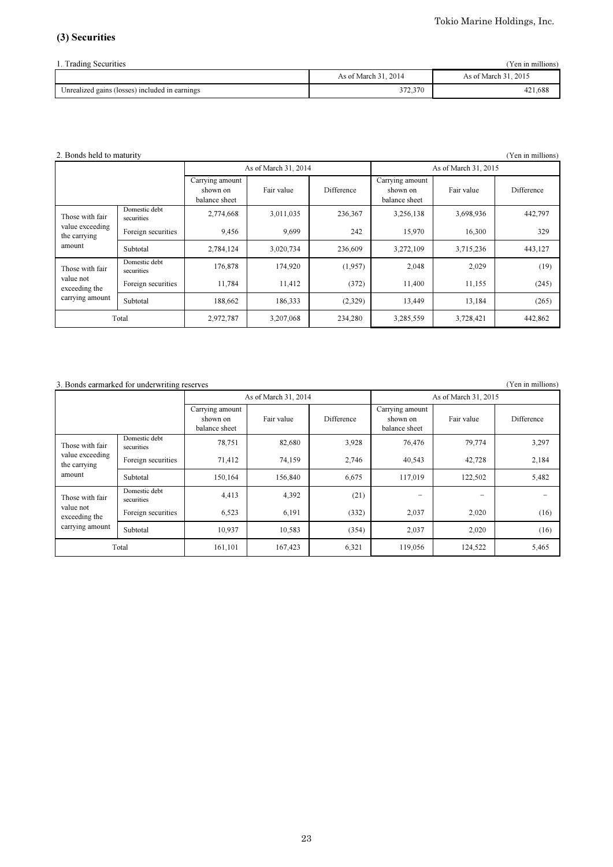# (3) Securities

| (Yen in millions)<br>1. Trading Securities     |                      |                      |  |  |  |  |
|------------------------------------------------|----------------------|----------------------|--|--|--|--|
|                                                | As of March 31, 2014 | As of March 31, 2015 |  |  |  |  |
| Unrealized gains (losses) included in earnings | 372,370              | 421.688              |  |  |  |  |

## 2. Bonds held to maturity (Yen in millions)  $(Y^{\text{en in millions}})$

|                                 |                             |                                              | As of March 31, 2014 |                   | As of March 31, 2015                         |            |            |  |
|---------------------------------|-----------------------------|----------------------------------------------|----------------------|-------------------|----------------------------------------------|------------|------------|--|
|                                 |                             | Carrying amount<br>shown on<br>balance sheet | Fair value           | <b>Difference</b> | Carrying amount<br>shown on<br>balance sheet | Fair value | Difference |  |
| Those with fair                 | Domestic debt<br>securities | 2,774,668                                    | 3,011,035            | 236,367           | 3,256,138                                    | 3,698,936  | 442,797    |  |
| value exceeding<br>the carrying | Foreign securities          | 9,456                                        | 9.699                | 242               | 15,970                                       | 16,300     | 329        |  |
| amount                          | Subtotal                    | 2,784,124                                    | 3,020,734            | 236,609           | 3,272,109                                    | 3,715,236  | 443,127    |  |
| Those with fair                 | Domestic debt<br>securities | 176,878                                      | 174,920              | (1,957)           | 2,048                                        | 2,029      | (19)       |  |
| value not<br>exceeding the      | Foreign securities          | 11,784                                       | 11,412               | (372)             | 11,400                                       | 11,155     | (245)      |  |
| carrying amount                 | Subtotal                    | 188,662                                      | 186,333              | (2,329)           | 13,449                                       | 13,184     | (265)      |  |
|                                 | Total                       | 2,972,787                                    | 3,207,068            | 234,280           | 3,285,559                                    | 3,728,421  | 442,862    |  |

# 3. Bonds earmarked for underwriting reserves (Yen in millions)

|                                               |                             |                                              | As of March 31, 2014 |            | As of March 31, 2015                         |            |            |  |
|-----------------------------------------------|-----------------------------|----------------------------------------------|----------------------|------------|----------------------------------------------|------------|------------|--|
|                                               |                             | Carrying amount<br>shown on<br>balance sheet | Fair value           | Difference | Carrying amount<br>shown on<br>balance sheet | Fair value | Difference |  |
| Those with fair                               | Domestic debt<br>securities | 78,751                                       | 82,680               | 3,928      | 76,476                                       | 79,774     | 3,297      |  |
| value exceeding<br>the carrying               | Foreign securities          | 71,412                                       | 74,159               | 2,746      | 40,543                                       | 42,728     | 2,184      |  |
| amount                                        | Subtotal                    | 150,164                                      | 156,840              | 6,675      | 117,019                                      | 122,502    | 5,482      |  |
| Those with fair                               | Domestic debt<br>securities | 4,413                                        | 4,392                | (21)       | -                                            | -          |            |  |
| value not<br>exceeding the<br>carrying amount | Foreign securities          | 6,523                                        | 6,191                | (332)      | 2,037                                        | 2,020      | (16)       |  |
|                                               | Subtotal                    | 10,937                                       | 10,583               | (354)      | 2,037                                        | 2,020      | (16)       |  |
|                                               | Total                       | 161,101                                      | 167,423              | 6,321      | 119,056                                      | 124,522    | 5,465      |  |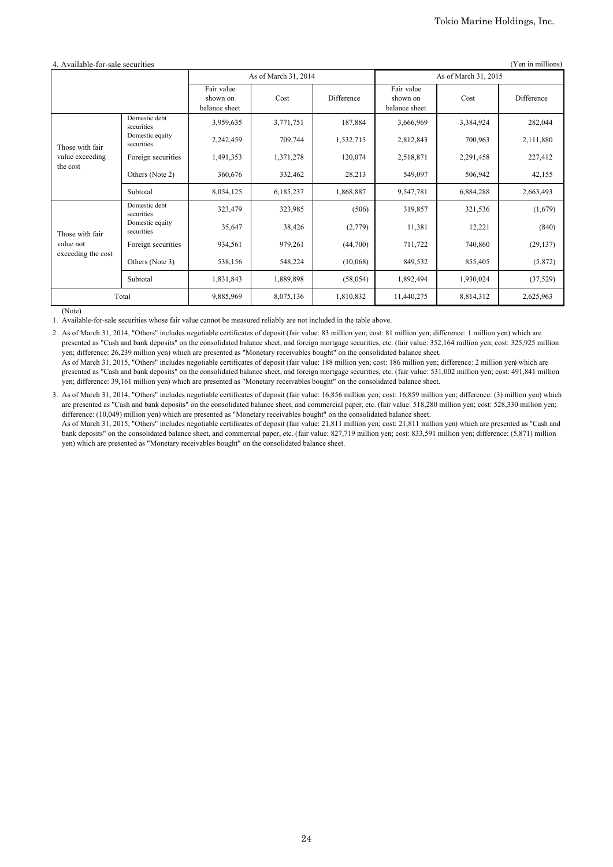| 4. Available-for-sale securities<br>(Yen in millions) |                               |                                         |           |            |                                         |           |            |  |
|-------------------------------------------------------|-------------------------------|-----------------------------------------|-----------|------------|-----------------------------------------|-----------|------------|--|
|                                                       |                               | As of March 31, 2014                    |           |            | As of March 31, 2015                    |           |            |  |
|                                                       |                               | Fair value<br>shown on<br>balance sheet | Cost      | Difference | Fair value<br>shown on<br>balance sheet | Cost      | Difference |  |
| Those with fair                                       | Domestic debt<br>securities   | 3,959,635                               | 3,771,751 | 187,884    | 3,666,969                               | 3,384,924 | 282,044    |  |
|                                                       | Domestic equity<br>securities | 2,242,459                               | 709,744   | 1,532,715  | 2,812,843                               | 700,963   | 2,111,880  |  |
| value exceeding<br>the cost                           | Foreign securities            | 1,491,353                               | 1,371,278 | 120,074    | 2,518,871                               | 2,291,458 | 227,412    |  |
|                                                       | Others (Note 2)               | 360,676                                 | 332,462   | 28,213     | 549,097                                 | 506,942   | 42,155     |  |
|                                                       | Subtotal                      | 8,054,125                               | 6,185,237 | 1,868,887  | 9,547,781                               | 6,884,288 | 2,663,493  |  |
|                                                       | Domestic debt<br>securities   | 323,479                                 | 323,985   | (506)      | 319,857                                 | 321,536   | (1,679)    |  |
| Those with fair                                       | Domestic equity<br>securities | 35,647                                  | 38,426    | (2,779)    | 11,381                                  | 12,221    | (840)      |  |
| value not<br>exceeding the cost                       | Foreign securities            | 934,561                                 | 979,261   | (44,700)   | 711,722                                 | 740,860   | (29, 137)  |  |
|                                                       | Others (Note 3)               | 538,156                                 | 548,224   | (10,068)   | 849,532                                 | 855,405   | (5,872)    |  |
|                                                       | Subtotal                      | 1,831,843                               | 1,889,898 | (58, 054)  | 1,892,494                               | 1,930,024 | (37, 529)  |  |
| Total                                                 |                               | 9,885,969                               | 8,075,136 | 1,810,832  | 11,440,275                              | 8,814,312 | 2,625,963  |  |

(Note)

1. Available-for-sale securities whose fair value cannot be measured reliably are not included in the table above.

2. As of March 31, 2014, "Others" includes negotiable certificates of deposit (fair value: 83 million yen; cost: 81 million yen; difference: 1 million yen) which are presented as "Cash and bank deposits" on the consolidated balance sheet, and foreign mortgage securities, etc. (fair value: 352,164 million yen; cost: 325,925 million yen; difference: 26,239 million yen) which are presented as "Monetary receivables bought" on the consolidated balance sheet. As of March 31, 2015, "Others" includes negotiable certificates of deposit (fair value: 188 million yen; cost: 186 million yen; difference: 2 million yen) which are

presented as "Cash and bank deposits" on the consolidated balance sheet, and foreign mortgage securities, etc. (fair value: 531,002 million yen; cost: 491,841 million yen; difference: 39,161 million yen) which are presented as "Monetary receivables bought" on the consolidated balance sheet.

3. As of March 31, 2014, "Others" includes negotiable certificates of deposit (fair value: 16,856 million yen; cost: 16,859 million yen; difference: (3) million yen) which are presented as "Cash and bank deposits" on the consolidated balance sheet, and commercial paper, etc. (fair value: 518,280 million yen; cost: 528,330 million yen; difference: (10,049) million yen) which are presented as "Monetary receivables bought" on the consolidated balance sheet. As of March 31, 2015, "Others" includes negotiable certificates of deposit (fair value: 21,811 million yen; cost: 21,811 million yen) which are presented as "Cash and

bank deposits" on the consolidated balance sheet, and commercial paper, etc. (fair value: 827,719 million yen; cost: 833,591 million yen; difference: (5,871) million yen) which are presented as "Monetary receivables bought" on the consolidated balance sheet.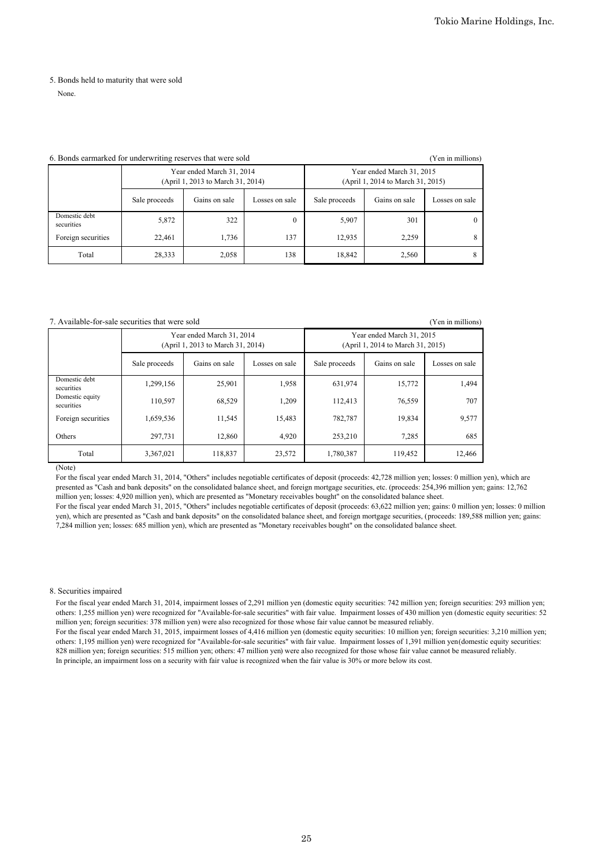# 5. Bonds held to maturity that were sold

None.

## 6. Bonds earmarked for underwriting reserves that were sold (Yen in millions)

|                             |               | Year ended March 31, 2014<br>(April 1, 2013 to March 31, 2014) |                | Year ended March 31, 2015<br>(April 1, 2014 to March 31, 2015) |               |                |  |
|-----------------------------|---------------|----------------------------------------------------------------|----------------|----------------------------------------------------------------|---------------|----------------|--|
|                             | Sale proceeds | Gains on sale                                                  | Losses on sale | Sale proceeds                                                  | Gains on sale | Losses on sale |  |
| Domestic debt<br>securities | 5,872         | 322                                                            | $\mathbf{0}$   | 5,907                                                          | 301           |                |  |
| Foreign securities          | 22,461        | 1,736                                                          | 137            | 12,935                                                         | 2,259         |                |  |
| Total                       | 28,333        | 2,058                                                          | 138            | 18,842                                                         | 2,560         |                |  |

## 7. Available-for-sale securities that were sold (Yen in millions)

|                               |               | Year ended March 31, 2014<br>(April 1, 2013 to March 31, 2014) |                | Year ended March 31, 2015<br>(April 1, 2014 to March 31, 2015) |               |                |  |
|-------------------------------|---------------|----------------------------------------------------------------|----------------|----------------------------------------------------------------|---------------|----------------|--|
|                               | Sale proceeds | Gains on sale                                                  | Losses on sale | Sale proceeds                                                  | Gains on sale | Losses on sale |  |
| Domestic debt<br>securities   | 1,299,156     | 25,901                                                         | 1,958          | 631,974                                                        | 15,772        | 1,494          |  |
| Domestic equity<br>securities | 110,597       | 68,529                                                         | 1,209          | 112,413                                                        | 76,559        | 707            |  |
| Foreign securities            | 1,659,536     | 11,545                                                         | 15,483         | 782,787                                                        | 19,834        | 9,577          |  |
| <b>Others</b>                 | 297,731       | 12,860                                                         | 4,920          | 253.210                                                        | 7,285         | 685            |  |
| Total                         | 3,367,021     | 118,837                                                        | 23,572         | 1,780,387                                                      | 119,452       | 12,466         |  |

(Note)

For the fiscal year ended March 31, 2014, "Others" includes negotiable certificates of deposit (proceeds: 42,728 million yen; losses: 0 million yen), which are presented as "Cash and bank deposits" on the consolidated balance sheet, and foreign mortgage securities, etc. (proceeds: 254,396 million yen; gains: 12,762 million yen; losses: 4,920 million yen), which are presented as "Monetary receivables bought" on the consolidated balance sheet.

For the fiscal year ended March 31, 2015, "Others" includes negotiable certificates of deposit (proceeds: 63,622 million yen; gains: 0 million yen; losses: 0 million yen), which are presented as "Cash and bank deposits" on the consolidated balance sheet, and foreign mortgage securities, (proceeds: 189,588 million yen; gains: 7,284 million yen; losses: 685 million yen), which are presented as "Monetary receivables bought" on the consolidated balance sheet.

## 8. Securities impaired

For the fiscal year ended March 31, 2014, impairment losses of 2,291 million yen (domestic equity securities: 742 million yen; foreign securities: 293 million yen; others: 1,255 million yen) were recognized for "Available-for-sale securities" with fair value. Impairment losses of 430 million yen (domestic equity securities: 52 million yen; foreign securities: 378 million yen) were also recognized for those whose fair value cannot be measured reliably.

For the fiscal year ended March 31, 2015, impairment losses of 4,416 million yen (domestic equity securities: 10 million yen; foreign securities: 3,210 million yen; others: 1,195 million yen) were recognized for "Available-for-sale securities" with fair value. Impairment losses of 1,391 million yen (domestic equity securities: 828 million yen; foreign securities: 515 million yen; others: 47 million yen) were also recognized for those whose fair value cannot be measured reliably. In principle, an impairment loss on a security with fair value is recognized when the fair value is 30% or more below its cost.